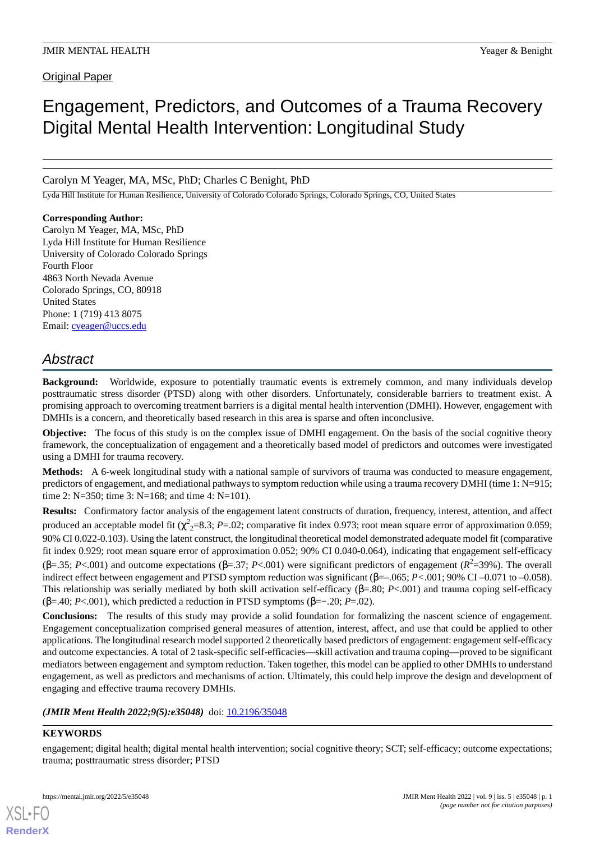Original Paper

# Engagement, Predictors, and Outcomes of a Trauma Recovery Digital Mental Health Intervention: Longitudinal Study

Carolyn M Yeager, MA, MSc, PhD; Charles C Benight, PhD

Lyda Hill Institute for Human Resilience, University of Colorado Colorado Springs, Colorado Springs, CO, United States

## **Corresponding Author:**

Carolyn M Yeager, MA, MSc, PhD Lyda Hill Institute for Human Resilience University of Colorado Colorado Springs Fourth Floor 4863 North Nevada Avenue Colorado Springs, CO, 80918 United States Phone: 1 (719) 413 8075 Email: [cyeager@uccs.edu](mailto:cyeager@uccs.edu)

# *Abstract*

**Background:** Worldwide, exposure to potentially traumatic events is extremely common, and many individuals develop posttraumatic stress disorder (PTSD) along with other disorders. Unfortunately, considerable barriers to treatment exist. A promising approach to overcoming treatment barriers is a digital mental health intervention (DMHI). However, engagement with DMHIs is a concern, and theoretically based research in this area is sparse and often inconclusive.

**Objective:** The focus of this study is on the complex issue of DMHI engagement. On the basis of the social cognitive theory framework, the conceptualization of engagement and a theoretically based model of predictors and outcomes were investigated using a DMHI for trauma recovery.

**Methods:** A 6-week longitudinal study with a national sample of survivors of trauma was conducted to measure engagement, predictors of engagement, and mediational pathways to symptom reduction while using a trauma recovery DMHI (time 1: N=915; time 2: N=350; time 3: N=168; and time 4: N=101).

**Results:** Confirmatory factor analysis of the engagement latent constructs of duration, frequency, interest, attention, and affect produced an acceptable model fit (χ<sup>2</sup><sub>2</sub>=8.3; *P*=.02; comparative fit index 0.973; root mean square error of approximation 0.059; 90% CI 0.022-0.103). Using the latent construct, the longitudinal theoretical model demonstrated adequate model fit (comparative fit index 0.929; root mean square error of approximation 0.052; 90% CI 0.040-0.064), indicating that engagement self-efficacy (β=.35; *P*<.001) and outcome expectations (β=.37; *P*<.001) were significant predictors of engagement (*R* 2 =39%). The overall indirect effect between engagement and PTSD symptom reduction was significant (β=–.065; *P<*.001; 90% CI –0.071 to –0.058). This relationship was serially mediated by both skill activation self-efficacy (β=.80; *P*<.001) and trauma coping self-efficacy ( $\beta$ =.40; *P*<.001), which predicted a reduction in PTSD symptoms ( $\beta$ =-.20; *P*=.02).

**Conclusions:** The results of this study may provide a solid foundation for formalizing the nascent science of engagement. Engagement conceptualization comprised general measures of attention, interest, affect, and use that could be applied to other applications. The longitudinal research model supported 2 theoretically based predictors of engagement: engagement self-efficacy and outcome expectancies. A total of 2 task-specific self-efficacies—skill activation and trauma coping—proved to be significant mediators between engagement and symptom reduction. Taken together, this model can be applied to other DMHIs to understand engagement, as well as predictors and mechanisms of action. Ultimately, this could help improve the design and development of engaging and effective trauma recovery DMHIs.

*(JMIR Ment Health 2022;9(5):e35048)* doi: [10.2196/35048](http://dx.doi.org/10.2196/35048)

## **KEYWORDS**

[XSL](http://www.w3.org/Style/XSL)•FO **[RenderX](http://www.renderx.com/)**

engagement; digital health; digital mental health intervention; social cognitive theory; SCT; self-efficacy; outcome expectations; trauma; posttraumatic stress disorder; PTSD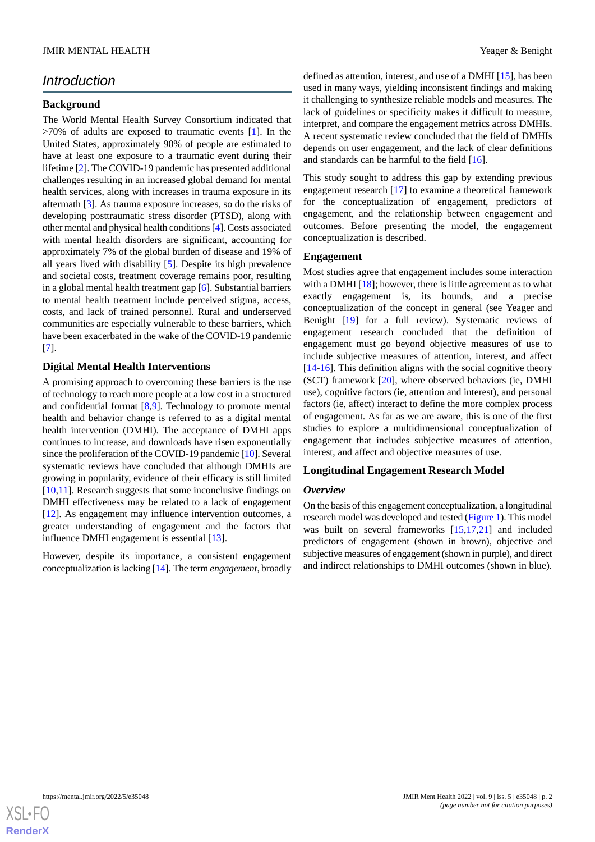## *Introduction*

## **Background**

The World Mental Health Survey Consortium indicated that  $>70\%$  of adults are exposed to traumatic events [[1\]](#page-13-0). In the United States, approximately 90% of people are estimated to have at least one exposure to a traumatic event during their lifetime [[2\]](#page-13-1). The COVID-19 pandemic has presented additional challenges resulting in an increased global demand for mental health services, along with increases in trauma exposure in its aftermath [[3\]](#page-13-2). As trauma exposure increases, so do the risks of developing posttraumatic stress disorder (PTSD), along with other mental and physical health conditions [\[4](#page-13-3)]. Costs associated with mental health disorders are significant, accounting for approximately 7% of the global burden of disease and 19% of all years lived with disability [[5](#page-13-4)]. Despite its high prevalence and societal costs, treatment coverage remains poor, resulting in a global mental health treatment gap [[6\]](#page-13-5). Substantial barriers to mental health treatment include perceived stigma, access, costs, and lack of trained personnel. Rural and underserved communities are especially vulnerable to these barriers, which have been exacerbated in the wake of the COVID-19 pandemic [[7\]](#page-13-6).

## **Digital Mental Health Interventions**

A promising approach to overcoming these barriers is the use of technology to reach more people at a low cost in a structured and confidential format [\[8,](#page-13-7)[9](#page-13-8)]. Technology to promote mental health and behavior change is referred to as a digital mental health intervention (DMHI). The acceptance of DMHI apps continues to increase, and downloads have risen exponentially since the proliferation of the COVID-19 pandemic [[10\]](#page-14-0). Several systematic reviews have concluded that although DMHIs are growing in popularity, evidence of their efficacy is still limited [[10](#page-14-0)[,11](#page-14-1)]. Research suggests that some inconclusive findings on DMHI effectiveness may be related to a lack of engagement [[12\]](#page-14-2). As engagement may influence intervention outcomes, a greater understanding of engagement and the factors that influence DMHI engagement is essential [[13\]](#page-14-3).

However, despite its importance, a consistent engagement conceptualization is lacking [[14\]](#page-14-4). The term *engagement*, broadly

defined as attention, interest, and use of a DMHI [\[15](#page-14-5)], has been used in many ways, yielding inconsistent findings and making it challenging to synthesize reliable models and measures. The lack of guidelines or specificity makes it difficult to measure, interpret, and compare the engagement metrics across DMHIs. A recent systematic review concluded that the field of DMHIs depends on user engagement, and the lack of clear definitions and standards can be harmful to the field [\[16](#page-14-6)].

This study sought to address this gap by extending previous engagement research [\[17](#page-14-7)] to examine a theoretical framework for the conceptualization of engagement, predictors of engagement, and the relationship between engagement and outcomes. Before presenting the model, the engagement conceptualization is described.

#### **Engagement**

Most studies agree that engagement includes some interaction with a DMHI  $[18]$  $[18]$ ; however, there is little agreement as to what exactly engagement is, its bounds, and a precise conceptualization of the concept in general (see Yeager and Benight [[19\]](#page-14-9) for a full review). Systematic reviews of engagement research concluded that the definition of engagement must go beyond objective measures of use to include subjective measures of attention, interest, and affect [[14](#page-14-4)[-16](#page-14-6)]. This definition aligns with the social cognitive theory (SCT) framework [[20\]](#page-14-10), where observed behaviors (ie, DMHI use), cognitive factors (ie, attention and interest), and personal factors (ie, affect) interact to define the more complex process of engagement. As far as we are aware, this is one of the first studies to explore a multidimensional conceptualization of engagement that includes subjective measures of attention, interest, and affect and objective measures of use.

## **Longitudinal Engagement Research Model**

#### *Overview*

On the basis of this engagement conceptualization, a longitudinal research model was developed and tested [\(Figure 1](#page-2-0)). This model was built on several frameworks [\[15](#page-14-5),[17,](#page-14-7)[21](#page-14-11)] and included predictors of engagement (shown in brown), objective and subjective measures of engagement (shown in purple), and direct and indirect relationships to DMHI outcomes (shown in blue).

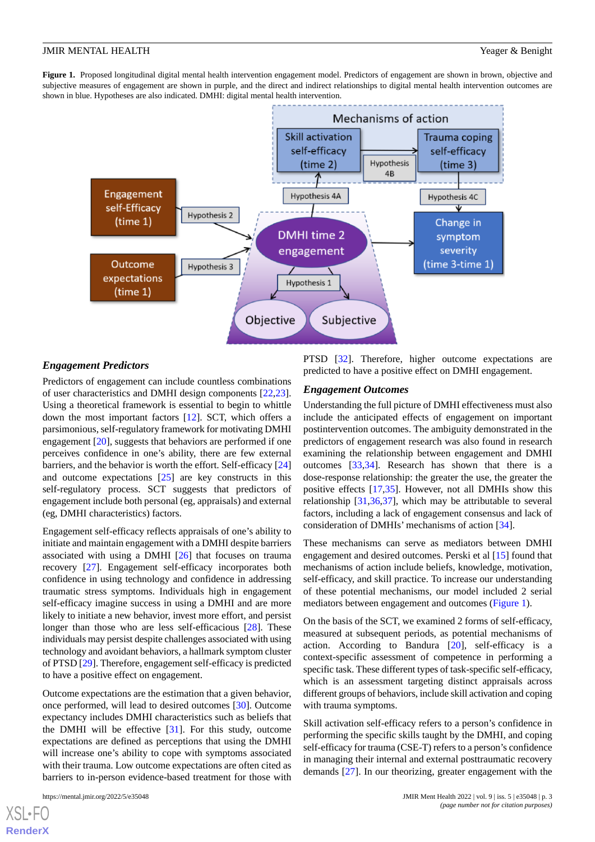<span id="page-2-0"></span>**Figure 1.** Proposed longitudinal digital mental health intervention engagement model. Predictors of engagement are shown in brown, objective and subjective measures of engagement are shown in purple, and the direct and indirect relationships to digital mental health intervention outcomes are shown in blue. Hypotheses are also indicated. DMHI: digital mental health intervention.



## *Engagement Predictors*

Predictors of engagement can include countless combinations of user characteristics and DMHI design components [\[22](#page-14-12),[23\]](#page-14-13). Using a theoretical framework is essential to begin to whittle down the most important factors [[12\]](#page-14-2). SCT, which offers a parsimonious, self-regulatory framework for motivating DMHI engagement [[20\]](#page-14-10), suggests that behaviors are performed if one perceives confidence in one's ability, there are few external barriers, and the behavior is worth the effort. Self-efficacy [\[24](#page-14-14)] and outcome expectations [\[25](#page-14-15)] are key constructs in this self-regulatory process. SCT suggests that predictors of engagement include both personal (eg, appraisals) and external (eg, DMHI characteristics) factors.

Engagement self-efficacy reflects appraisals of one's ability to initiate and maintain engagement with a DMHI despite barriers associated with using a DMHI [[26\]](#page-14-16) that focuses on trauma recovery [\[27](#page-14-17)]. Engagement self-efficacy incorporates both confidence in using technology and confidence in addressing traumatic stress symptoms. Individuals high in engagement self-efficacy imagine success in using a DMHI and are more likely to initiate a new behavior, invest more effort, and persist longer than those who are less self-efficacious [\[28](#page-14-18)]. These individuals may persist despite challenges associated with using technology and avoidant behaviors, a hallmark symptom cluster of PTSD [[29\]](#page-14-19). Therefore, engagement self-efficacy is predicted to have a positive effect on engagement.

Outcome expectations are the estimation that a given behavior, once performed, will lead to desired outcomes [\[30](#page-14-20)]. Outcome expectancy includes DMHI characteristics such as beliefs that the DMHI will be effective [\[31](#page-14-21)]. For this study, outcome expectations are defined as perceptions that using the DMHI will increase one's ability to cope with symptoms associated with their trauma. Low outcome expectations are often cited as barriers to in-person evidence-based treatment for those with

```
https://mental.jmir.org/2022/5/e35048 JMIR Ment Health 2022 | vol. 9 | iss. 5 | e35048 | p. 3
```
 $X$ SL•FO **[RenderX](http://www.renderx.com/)** PTSD [\[32](#page-14-22)]. Therefore, higher outcome expectations are predicted to have a positive effect on DMHI engagement.

#### *Engagement Outcomes*

Understanding the full picture of DMHI effectiveness must also include the anticipated effects of engagement on important postintervention outcomes. The ambiguity demonstrated in the predictors of engagement research was also found in research examining the relationship between engagement and DMHI outcomes [\[33](#page-14-23),[34\]](#page-15-0). Research has shown that there is a dose-response relationship: the greater the use, the greater the positive effects [[17](#page-14-7)[,35](#page-15-1)]. However, not all DMHIs show this relationship [[31](#page-14-21)[,36](#page-15-2),[37\]](#page-15-3), which may be attributable to several factors, including a lack of engagement consensus and lack of consideration of DMHIs' mechanisms of action [[34\]](#page-15-0).

These mechanisms can serve as mediators between DMHI engagement and desired outcomes. Perski et al [\[15](#page-14-5)] found that mechanisms of action include beliefs, knowledge, motivation, self-efficacy, and skill practice. To increase our understanding of these potential mechanisms, our model included 2 serial mediators between engagement and outcomes [\(Figure 1\)](#page-2-0).

On the basis of the SCT, we examined 2 forms of self-efficacy, measured at subsequent periods, as potential mechanisms of action. According to Bandura [\[20](#page-14-10)], self-efficacy is a context-specific assessment of competence in performing a specific task. These different types of task-specific self-efficacy, which is an assessment targeting distinct appraisals across different groups of behaviors, include skill activation and coping with trauma symptoms.

Skill activation self-efficacy refers to a person's confidence in performing the specific skills taught by the DMHI, and coping self-efficacy for trauma (CSE-T) refers to a person's confidence in managing their internal and external posttraumatic recovery demands [[27\]](#page-14-17). In our theorizing, greater engagement with the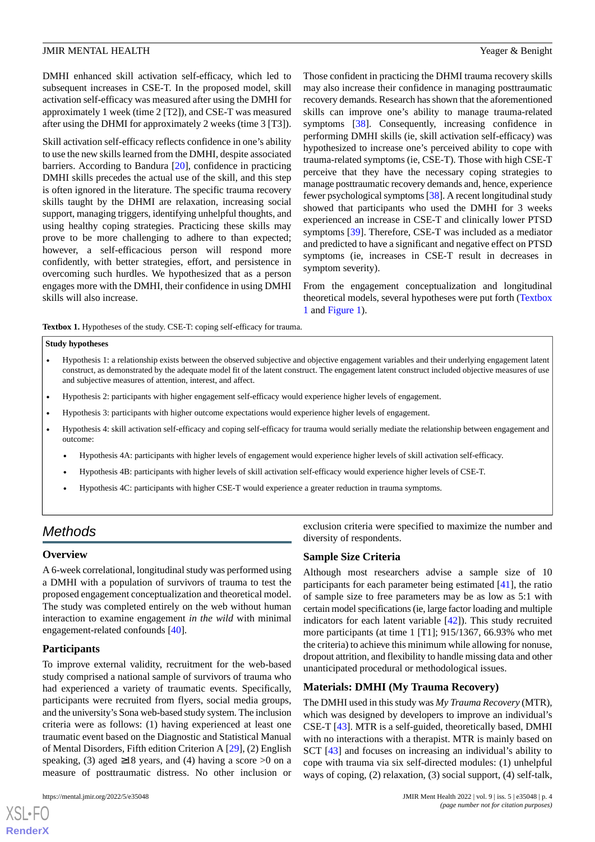DMHI enhanced skill activation self-efficacy, which led to subsequent increases in CSE-T. In the proposed model, skill activation self-efficacy was measured after using the DMHI for approximately 1 week (time 2 [T2]), and CSE-T was measured after using the DHMI for approximately 2 weeks (time 3 [T3]).

Skill activation self-efficacy reflects confidence in one's ability to use the new skills learned from the DMHI, despite associated barriers. According to Bandura [\[20](#page-14-10)], confidence in practicing DMHI skills precedes the actual use of the skill, and this step is often ignored in the literature. The specific trauma recovery skills taught by the DHMI are relaxation, increasing social support, managing triggers, identifying unhelpful thoughts, and using healthy coping strategies. Practicing these skills may prove to be more challenging to adhere to than expected; however, a self-efficacious person will respond more confidently, with better strategies, effort, and persistence in overcoming such hurdles. We hypothesized that as a person engages more with the DMHI, their confidence in using DMHI skills will also increase.

Those confident in practicing the DHMI trauma recovery skills may also increase their confidence in managing posttraumatic recovery demands. Research has shown that the aforementioned skills can improve one's ability to manage trauma-related symptoms [[38\]](#page-15-4). Consequently, increasing confidence in performing DMHI skills (ie, skill activation self-efficacy) was hypothesized to increase one's perceived ability to cope with trauma-related symptoms (ie, CSE-T). Those with high CSE-T perceive that they have the necessary coping strategies to manage posttraumatic recovery demands and, hence, experience fewer psychological symptoms [[38\]](#page-15-4). A recent longitudinal study showed that participants who used the DMHI for 3 weeks experienced an increase in CSE-T and clinically lower PTSD symptoms [[39\]](#page-15-5). Therefore, CSE-T was included as a mediator and predicted to have a significant and negative effect on PTSD symptoms (ie, increases in CSE-T result in decreases in symptom severity).

From the engagement conceptualization and longitudinal theoretical models, several hypotheses were put forth [\(Textbox](#page-3-0) [1](#page-3-0) and [Figure 1\)](#page-2-0).

<span id="page-3-0"></span>**Textbox 1.** Hypotheses of the study. CSE-T: coping self-efficacy for trauma.

#### **Study hypotheses**

- Hypothesis 1: a relationship exists between the observed subjective and objective engagement variables and their underlying engagement latent construct, as demonstrated by the adequate model fit of the latent construct. The engagement latent construct included objective measures of use and subjective measures of attention, interest, and affect.
- Hypothesis 2: participants with higher engagement self-efficacy would experience higher levels of engagement.
- Hypothesis 3: participants with higher outcome expectations would experience higher levels of engagement.
- Hypothesis 4: skill activation self-efficacy and coping self-efficacy for trauma would serially mediate the relationship between engagement and outcome:
	- Hypothesis 4A: participants with higher levels of engagement would experience higher levels of skill activation self-efficacy.
	- Hypothesis 4B: participants with higher levels of skill activation self-efficacy would experience higher levels of CSE-T.
	- Hypothesis 4C: participants with higher CSE-T would experience a greater reduction in trauma symptoms.

# *Methods*

## **Overview**

A 6-week correlational, longitudinal study was performed using a DMHI with a population of survivors of trauma to test the proposed engagement conceptualization and theoretical model. The study was completed entirely on the web without human interaction to examine engagement *in the wild* with minimal engagement-related confounds [\[40](#page-15-6)].

## **Participants**

To improve external validity, recruitment for the web-based study comprised a national sample of survivors of trauma who had experienced a variety of traumatic events. Specifically, participants were recruited from flyers, social media groups, and the university's Sona web-based study system. The inclusion criteria were as follows: (1) having experienced at least one traumatic event based on the Diagnostic and Statistical Manual of Mental Disorders, Fifth edition Criterion A [\[29](#page-14-19)], (2) English speaking, (3) aged  $\geq$ 18 years, and (4) having a score >0 on a measure of posttraumatic distress. No other inclusion or

[XSL](http://www.w3.org/Style/XSL)•FO **[RenderX](http://www.renderx.com/)**

exclusion criteria were specified to maximize the number and diversity of respondents.

## **Sample Size Criteria**

Although most researchers advise a sample size of 10 participants for each parameter being estimated [[41\]](#page-15-7), the ratio of sample size to free parameters may be as low as 5:1 with certain model specifications (ie, large factor loading and multiple indicators for each latent variable [\[42](#page-15-8)]). This study recruited more participants (at time 1 [T1]; 915/1367, 66.93% who met the criteria) to achieve this minimum while allowing for nonuse, dropout attrition, and flexibility to handle missing data and other unanticipated procedural or methodological issues.

## **Materials: DMHI (My Trauma Recovery)**

The DMHI used in this study was *My Trauma Recovery* (MTR), which was designed by developers to improve an individual's CSE-T [\[43](#page-15-9)]. MTR is a self-guided, theoretically based, DMHI with no interactions with a therapist. MTR is mainly based on SCT [\[43](#page-15-9)] and focuses on increasing an individual's ability to cope with trauma via six self-directed modules: (1) unhelpful ways of coping, (2) relaxation, (3) social support, (4) self-talk,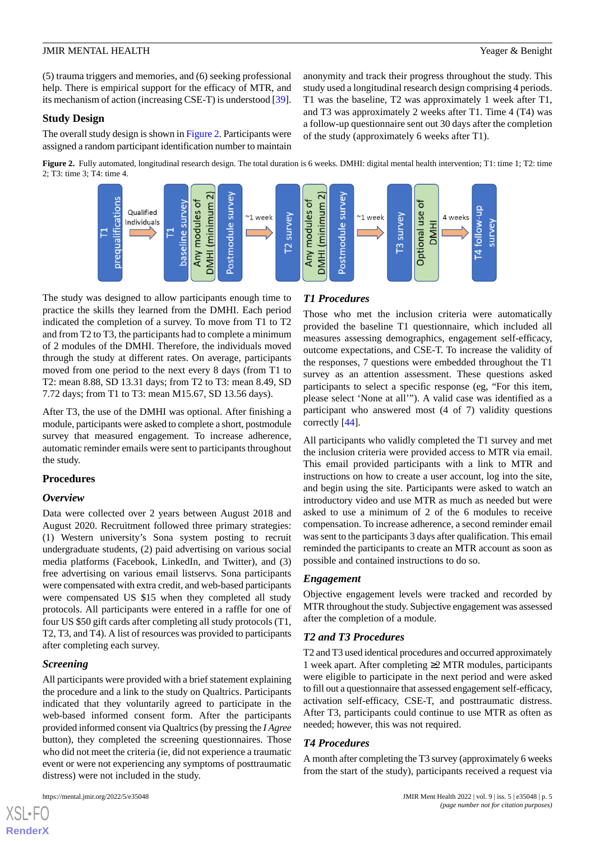(5) trauma triggers and memories, and (6) seeking professional help. There is empirical support for the efficacy of MTR, and its mechanism of action (increasing CSE-T) is understood [[39\]](#page-15-5).

#### **Study Design**

<span id="page-4-0"></span>The overall study design is shown in [Figure 2](#page-4-0). Participants were assigned a random participant identification number to maintain

Figure 2. Fully automated, longitudinal research design. The total duration is 6 weeks. DMHI: digital mental health intervention; T1: time 1; T2: time 2; T3: time 3; T4: time 4.



The study was designed to allow participants enough time to practice the skills they learned from the DMHI. Each period indicated the completion of a survey. To move from T1 to T2 and from T2 to T3, the participants had to complete a minimum of 2 modules of the DMHI. Therefore, the individuals moved through the study at different rates. On average, participants moved from one period to the next every 8 days (from T1 to T2: mean 8.88, SD 13.31 days; from T2 to T3: mean 8.49, SD 7.72 days; from T1 to T3: mean M15.67, SD 13.56 days).

After T3, the use of the DMHI was optional. After finishing a module, participants were asked to complete a short, postmodule survey that measured engagement. To increase adherence, automatic reminder emails were sent to participants throughout the study.

## **Procedures**

## *Overview*

Data were collected over 2 years between August 2018 and August 2020. Recruitment followed three primary strategies: (1) Western university's Sona system posting to recruit undergraduate students, (2) paid advertising on various social media platforms (Facebook, LinkedIn, and Twitter), and (3) free advertising on various email listservs. Sona participants were compensated with extra credit, and web-based participants were compensated US \$15 when they completed all study protocols. All participants were entered in a raffle for one of four US \$50 gift cards after completing all study protocols (T1, T2, T3, and T4). A list of resources was provided to participants after completing each survey.

## *Screening*

[XSL](http://www.w3.org/Style/XSL)•FO **[RenderX](http://www.renderx.com/)**

All participants were provided with a brief statement explaining the procedure and a link to the study on Qualtrics. Participants indicated that they voluntarily agreed to participate in the web-based informed consent form. After the participants provided informed consent via Qualtrics (by pressing the *I Agree* button), they completed the screening questionnaires. Those who did not meet the criteria (ie, did not experience a traumatic event or were not experiencing any symptoms of posttraumatic distress) were not included in the study.

## *T1 Procedures*

Those who met the inclusion criteria were automatically provided the baseline T1 questionnaire, which included all measures assessing demographics, engagement self-efficacy, outcome expectations, and CSE-T. To increase the validity of the responses, 7 questions were embedded throughout the T1 survey as an attention assessment. These questions asked participants to select a specific response (eg, "For this item, please select 'None at all'"). A valid case was identified as a participant who answered most (4 of 7) validity questions correctly [\[44](#page-15-10)].

anonymity and track their progress throughout the study. This study used a longitudinal research design comprising 4 periods. T1 was the baseline, T2 was approximately 1 week after T1, and T3 was approximately 2 weeks after T1. Time 4 (T4) was a follow-up questionnaire sent out 30 days after the completion

of the study (approximately 6 weeks after T1).

All participants who validly completed the T1 survey and met the inclusion criteria were provided access to MTR via email. This email provided participants with a link to MTR and instructions on how to create a user account, log into the site, and begin using the site. Participants were asked to watch an introductory video and use MTR as much as needed but were asked to use a minimum of 2 of the 6 modules to receive compensation. To increase adherence, a second reminder email was sent to the participants 3 days after qualification. This email reminded the participants to create an MTR account as soon as possible and contained instructions to do so.

## *Engagement*

Objective engagement levels were tracked and recorded by MTR throughout the study. Subjective engagement was assessed after the completion of a module.

## *T2 and T3 Procedures*

T2 and T3 used identical procedures and occurred approximately 1 week apart. After completing ≥2 MTR modules, participants were eligible to participate in the next period and were asked to fill out a questionnaire that assessed engagement self-efficacy, activation self-efficacy, CSE-T, and posttraumatic distress. After T3, participants could continue to use MTR as often as needed; however, this was not required.

## *T4 Procedures*

A month after completing the T3 survey (approximately 6 weeks from the start of the study), participants received a request via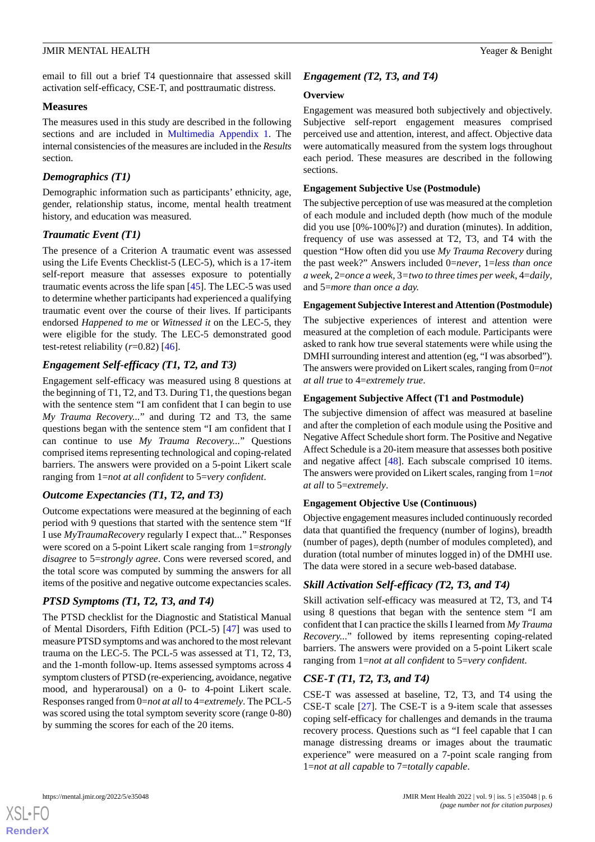email to fill out a brief T4 questionnaire that assessed skill activation self-efficacy, CSE-T, and posttraumatic distress.

## **Measures**

The measures used in this study are described in the following sections and are included in [Multimedia Appendix 1.](#page-13-9) The internal consistencies of the measures are included in the *Results* section.

## *Demographics (T1)*

Demographic information such as participants' ethnicity, age, gender, relationship status, income, mental health treatment history, and education was measured.

## *Traumatic Event (T1)*

The presence of a Criterion A traumatic event was assessed using the Life Events Checklist-5 (LEC-5), which is a 17-item self-report measure that assesses exposure to potentially traumatic events across the life span [[45\]](#page-15-11). The LEC-5 was used to determine whether participants had experienced a qualifying traumatic event over the course of their lives. If participants endorsed *Happened to me* or *Witnessed it* on the LEC-5, they were eligible for the study. The LEC-5 demonstrated good test-retest reliability  $(r=0.82)$  [[46\]](#page-15-12).

## *Engagement Self-efficacy (T1, T2, and T3)*

Engagement self-efficacy was measured using 8 questions at the beginning of T1, T2, and T3. During T1, the questions began with the sentence stem "I am confident that I can begin to use *My Trauma Recovery...*" and during T2 and T3, the same questions began with the sentence stem "I am confident that I can continue to use *My Trauma Recovery...*" Questions comprised items representing technological and coping-related barriers. The answers were provided on a 5-point Likert scale ranging from 1=*not at all confident* to 5=*very confident*.

## *Outcome Expectancies (T1, T2, and T3)*

Outcome expectations were measured at the beginning of each period with 9 questions that started with the sentence stem "If I use *MyTraumaRecovery* regularly I expect that*...*" Responses were scored on a 5-point Likert scale ranging from 1=*strongly disagree* to 5=*strongly agree*. Cons were reversed scored, and the total score was computed by summing the answers for all items of the positive and negative outcome expectancies scales.

## *PTSD Symptoms (T1, T2, T3, and T4)*

The PTSD checklist for the Diagnostic and Statistical Manual of Mental Disorders, Fifth Edition (PCL-5) [\[47](#page-15-13)] was used to measure PTSD symptoms and was anchored to the most relevant trauma on the LEC-5. The PCL-5 was assessed at T1, T2, T3, and the 1-month follow-up. Items assessed symptoms across 4 symptom clusters of PTSD (re-experiencing, avoidance, negative mood, and hyperarousal) on a 0- to 4-point Likert scale. Responses ranged from 0=*not at all*to 4=*extremely*. The PCL-5 was scored using the total symptom severity score (range 0-80) by summing the scores for each of the 20 items.

## *Engagement (T2, T3, and T4)*

## **Overview**

Engagement was measured both subjectively and objectively. Subjective self-report engagement measures comprised perceived use and attention, interest, and affect. Objective data were automatically measured from the system logs throughout each period. These measures are described in the following sections.

## **Engagement Subjective Use (Postmodule)**

The subjective perception of use was measured at the completion of each module and included depth (how much of the module did you use [0%-100%]?) and duration (minutes). In addition, frequency of use was assessed at T2, T3, and T4 with the question "How often did you use *My Trauma Recovery* during the past week?" Answers included 0=*never*, 1=*less than once a week,* 2=*once a week,* 3*=two to three times per week*, 4=*daily*, and 5=*more than once a day.*

## **Engagement Subjective Interest and Attention (Postmodule)**

The subjective experiences of interest and attention were measured at the completion of each module. Participants were asked to rank how true several statements were while using the DMHI surrounding interest and attention (eg, "I was absorbed"). The answers were provided on Likert scales, ranging from 0=*not at all true* to 4=*extremely true*.

## **Engagement Subjective Affect (T1 and Postmodule)**

The subjective dimension of affect was measured at baseline and after the completion of each module using the Positive and Negative Affect Schedule short form. The Positive and Negative Affect Schedule is a 20-item measure that assesses both positive and negative affect [\[48](#page-15-14)]. Each subscale comprised 10 items. The answers were provided on Likert scales, ranging from 1=*not at all* to 5=*extremely*.

## **Engagement Objective Use (Continuous)**

Objective engagement measures included continuously recorded data that quantified the frequency (number of logins), breadth (number of pages), depth (number of modules completed), and duration (total number of minutes logged in) of the DMHI use. The data were stored in a secure web-based database.

## *Skill Activation Self-efficacy (T2, T3, and T4)*

Skill activation self-efficacy was measured at T2, T3, and T4 using 8 questions that began with the sentence stem "I am confident that I can practice the skills I learned from *My Trauma Recovery...*" followed by items representing coping-related barriers. The answers were provided on a 5-point Likert scale ranging from 1=*not at all confident* to 5=*very confident*.

## *CSE-T (T1, T2, T3, and T4)*

CSE-T was assessed at baseline, T2, T3, and T4 using the CSE-T scale [[27\]](#page-14-17). The CSE-T is a 9-item scale that assesses coping self-efficacy for challenges and demands in the trauma recovery process. Questions such as "I feel capable that I can manage distressing dreams or images about the traumatic experience" were measured on a 7-point scale ranging from 1=*not at all capable* to 7=*totally capable*.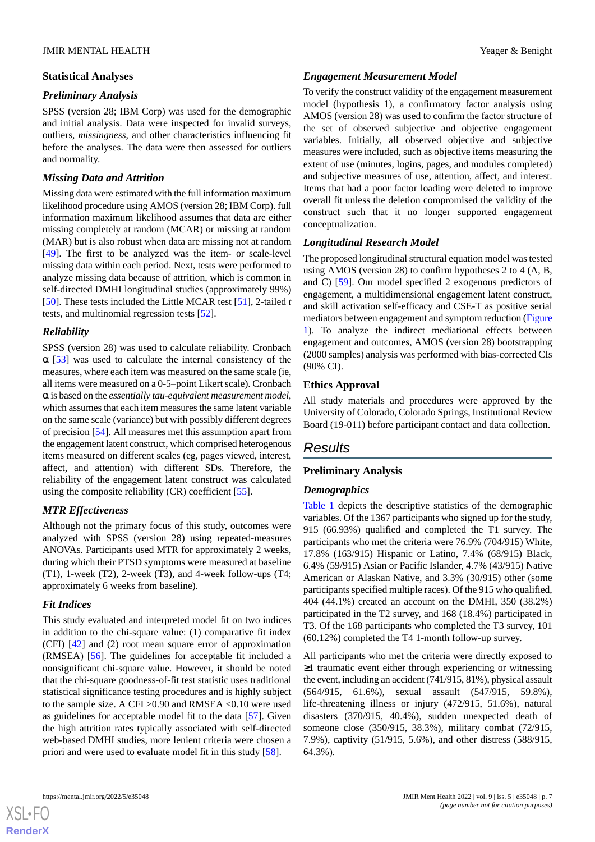## **Statistical Analyses**

## *Preliminary Analysis*

SPSS (version 28; IBM Corp) was used for the demographic and initial analysis. Data were inspected for invalid surveys, outliers, *missingness*, and other characteristics influencing fit before the analyses. The data were then assessed for outliers and normality.

## *Missing Data and Attrition*

Missing data were estimated with the full information maximum likelihood procedure using AMOS (version 28; IBM Corp). full information maximum likelihood assumes that data are either missing completely at random (MCAR) or missing at random (MAR) but is also robust when data are missing not at random [[49\]](#page-15-15). The first to be analyzed was the item- or scale-level missing data within each period. Next, tests were performed to analyze missing data because of attrition, which is common in self-directed DMHI longitudinal studies (approximately 99%) [[50\]](#page-15-16). These tests included the Little MCAR test [[51\]](#page-15-17), 2-tailed *t* tests, and multinomial regression tests [[52\]](#page-15-18).

## *Reliability*

SPSS (version 28) was used to calculate reliability. Cronbach  $\alpha$  [\[53](#page-15-19)] was used to calculate the internal consistency of the measures, where each item was measured on the same scale (ie, all items were measured on a 0-5–point Likert scale). Cronbach α is based on the *essentially tau-equivalent measurement model*, which assumes that each item measures the same latent variable on the same scale (variance) but with possibly different degrees of precision [\[54](#page-15-20)]. All measures met this assumption apart from the engagement latent construct, which comprised heterogenous items measured on different scales (eg, pages viewed, interest, affect, and attention) with different SDs. Therefore, the reliability of the engagement latent construct was calculated using the composite reliability (CR) coefficient [\[55](#page-15-21)].

## *MTR Effectiveness*

Although not the primary focus of this study, outcomes were analyzed with SPSS (version 28) using repeated-measures ANOVAs. Participants used MTR for approximately 2 weeks, during which their PTSD symptoms were measured at baseline (T1), 1-week (T2), 2-week (T3), and 4-week follow-ups (T4; approximately 6 weeks from baseline).

## *Fit Indices*

This study evaluated and interpreted model fit on two indices in addition to the chi-square value: (1) comparative fit index (CFI) [[42\]](#page-15-8) and (2) root mean square error of approximation (RMSEA) [[56\]](#page-15-22). The guidelines for acceptable fit included a nonsignificant chi-square value. However, it should be noted that the chi-square goodness-of-fit test statistic uses traditional statistical significance testing procedures and is highly subject to the sample size. A CFI >0.90 and RMSEA <0.10 were used as guidelines for acceptable model fit to the data [\[57](#page-15-23)]. Given the high attrition rates typically associated with self-directed web-based DMHI studies, more lenient criteria were chosen a priori and were used to evaluate model fit in this study [[58\]](#page-16-0).

# *Engagement Measurement Model*

To verify the construct validity of the engagement measurement model (hypothesis 1), a confirmatory factor analysis using AMOS (version 28) was used to confirm the factor structure of the set of observed subjective and objective engagement variables. Initially, all observed objective and subjective measures were included, such as objective items measuring the extent of use (minutes, logins, pages, and modules completed) and subjective measures of use, attention, affect, and interest. Items that had a poor factor loading were deleted to improve overall fit unless the deletion compromised the validity of the construct such that it no longer supported engagement conceptualization.

## *Longitudinal Research Model*

The proposed longitudinal structural equation model was tested using AMOS (version 28) to confirm hypotheses 2 to 4 (A, B, and C) [[59\]](#page-16-1). Our model specified 2 exogenous predictors of engagement, a multidimensional engagement latent construct, and skill activation self-efficacy and CSE-T as positive serial mediators between engagement and symptom reduction ([Figure](#page-2-0) [1\)](#page-2-0). To analyze the indirect mediational effects between engagement and outcomes, AMOS (version 28) bootstrapping (2000 samples) analysis was performed with bias-corrected CIs (90% CI).

## **Ethics Approval**

All study materials and procedures were approved by the University of Colorado, Colorado Springs, Institutional Review Board (19-011) before participant contact and data collection.

# *Results*

## **Preliminary Analysis**

## *Demographics*

[Table 1](#page-7-0) depicts the descriptive statistics of the demographic variables. Of the 1367 participants who signed up for the study, 915 (66.93%) qualified and completed the T1 survey. The participants who met the criteria were 76.9% (704/915) White, 17.8% (163/915) Hispanic or Latino, 7.4% (68/915) Black, 6.4% (59/915) Asian or Pacific Islander, 4.7% (43/915) Native American or Alaskan Native, and 3.3% (30/915) other (some participants specified multiple races). Of the 915 who qualified, 404 (44.1%) created an account on the DMHI, 350 (38.2%) participated in the T2 survey, and 168 (18.4%) participated in T3. Of the 168 participants who completed the T3 survey, 101 (60.12%) completed the T4 1-month follow-up survey.

All participants who met the criteria were directly exposed to ≥1 traumatic event either through experiencing or witnessing the event, including an accident (741/915, 81%), physical assault (564/915, 61.6%), sexual assault (547/915, 59.8%), life-threatening illness or injury (472/915, 51.6%), natural disasters (370/915, 40.4%), sudden unexpected death of someone close (350/915, 38.3%), military combat (72/915, 7.9%), captivity (51/915, 5.6%), and other distress (588/915, 64.3%).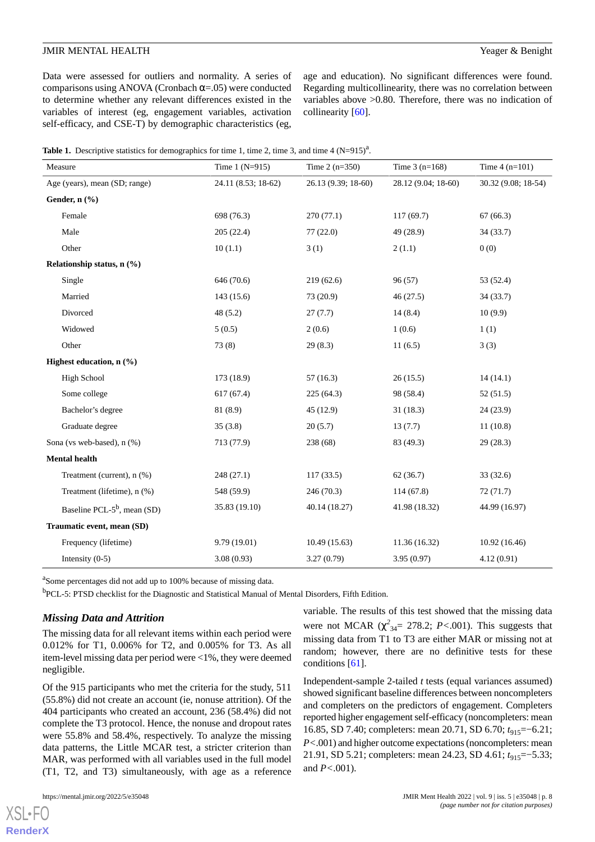Data were assessed for outliers and normality. A series of comparisons using ANOVA (Cronbach  $\alpha$ =.05) were conducted to determine whether any relevant differences existed in the variables of interest (eg, engagement variables, activation self-efficacy, and CSE-T) by demographic characteristics (eg,

age and education). No significant differences were found. Regarding multicollinearity, there was no correlation between variables above >0.80. Therefore, there was no indication of collinearity [\[60](#page-16-2)].

<span id="page-7-0"></span>

|  |  |  |  | Table 1. Descriptive statistics for demographics for time 1, time 2, time 3, and time 4 $(N=915)^{a}$ . |
|--|--|--|--|---------------------------------------------------------------------------------------------------------|
|--|--|--|--|---------------------------------------------------------------------------------------------------------|

| Measure                         | Time $1 (N=915)$    | Time $2(n=350)$       | Time $3(n=168)$     | Time $4(n=101)$     |  |
|---------------------------------|---------------------|-----------------------|---------------------|---------------------|--|
| Age (years), mean (SD; range)   | 24.11 (8.53; 18-62) | 26.13 (9.39; 18-60)   | 28.12 (9.04; 18-60) | 30.32 (9.08; 18-54) |  |
| Gender, n (%)                   |                     |                       |                     |                     |  |
| Female                          | 698 (76.3)          | 270(77.1)             | 117(69.7)           | 67(66.3)            |  |
| Male                            | 205(22.4)           | 77(22.0)              | 49 (28.9)           | 34 (33.7)           |  |
| Other                           | 10(1.1)             | 3(1)                  | 2(1.1)              | 0(0)                |  |
| Relationship status, $n$ (%)    |                     |                       |                     |                     |  |
| Single                          | 646 (70.6)          | 219(62.6)             | 96(57)              | 53 (52.4)           |  |
| Married                         | 143(15.6)           | 73 (20.9)             | 46(27.5)            | 34 (33.7)           |  |
| Divorced                        | 48(5.2)             | 27(7.7)               | 14(8.4)             | 10(9.9)             |  |
| Widowed                         | 5(0.5)              | 2(0.6)                | 1(0.6)              | 1(1)                |  |
| Other                           | 73(8)               | 29(8.3)               | 11(6.5)             | 3(3)                |  |
| Highest education, n (%)        |                     |                       |                     |                     |  |
| <b>High School</b>              | 173 (18.9)          | 57(16.3)              | 26(15.5)            | 14(14.1)            |  |
| Some college                    | 617(67.4)           | 225(64.3)             | 98 (58.4)           | 52(51.5)            |  |
| Bachelor's degree               | 81 (8.9)            | 45 (12.9)             | 31(18.3)            | 24(23.9)            |  |
| Graduate degree                 | 35(3.8)             | 20(5.7)               | 13(7.7)             | 11(10.8)            |  |
| Sona (vs web-based), n (%)      | 713 (77.9)          | 238 (68)<br>83 (49.3) |                     | 29(28.3)            |  |
| Mental health                   |                     |                       |                     |                     |  |
| Treatment (current), n (%)      | 248(27.1)           | 117(33.5)             | 62(36.7)            | 33(32.6)            |  |
| Treatment (lifetime), n (%)     | 548 (59.9)          | 246(70.3)             | 114(67.8)           | 72(71.7)            |  |
| Baseline PCL- $5^b$ , mean (SD) | 35.83 (19.10)       | 40.14 (18.27)         | 41.98 (18.32)       | 44.99 (16.97)       |  |
| Traumatic event, mean (SD)      |                     |                       |                     |                     |  |
| Frequency (lifetime)            | 9.79 (19.01)        | 10.49(15.63)          | 11.36 (16.32)       | 10.92(16.46)        |  |
| Intensity $(0-5)$               | 3.08(0.93)          | 3.27(0.79)            | 3.95(0.97)          | 4.12(0.91)          |  |

<sup>a</sup>Some percentages did not add up to 100% because of missing data.

<sup>b</sup>PCL-5: PTSD checklist for the Diagnostic and Statistical Manual of Mental Disorders, Fifth Edition.

## *Missing Data and Attrition*

The missing data for all relevant items within each period were 0.012% for T1, 0.006% for T2, and 0.005% for T3. As all item-level missing data per period were <1%, they were deemed negligible.

Of the 915 participants who met the criteria for the study, 511 (55.8%) did not create an account (ie, nonuse attrition). Of the 404 participants who created an account, 236 (58.4%) did not complete the T3 protocol. Hence, the nonuse and dropout rates were 55.8% and 58.4%, respectively. To analyze the missing data patterns, the Little MCAR test, a stricter criterion than MAR, was performed with all variables used in the full model (T1, T2, and T3) simultaneously, with age as a reference

[XSL](http://www.w3.org/Style/XSL)•FO **[RenderX](http://www.renderx.com/)**

variable. The results of this test showed that the missing data were not MCAR  $(\chi^2_{34} = 278.2; P < .001)$ . This suggests that missing data from T1 to T3 are either MAR or missing not at random; however, there are no definitive tests for these conditions [\[61](#page-16-3)].

Independent-sample 2-tailed *t* tests (equal variances assumed) showed significant baseline differences between noncompleters and completers on the predictors of engagement. Completers reported higher engagement self-efficacy (noncompleters: mean 16.85, SD 7.40; completers: mean 20.71, SD 6.70; *t*<sub>915</sub>=−6.21; *P<*.001) and higher outcome expectations (noncompleters: mean 21.91, SD 5.21; completers: mean 24.23, SD 4.61; *t*<sub>915</sub>=−5.33; and *P<*.001).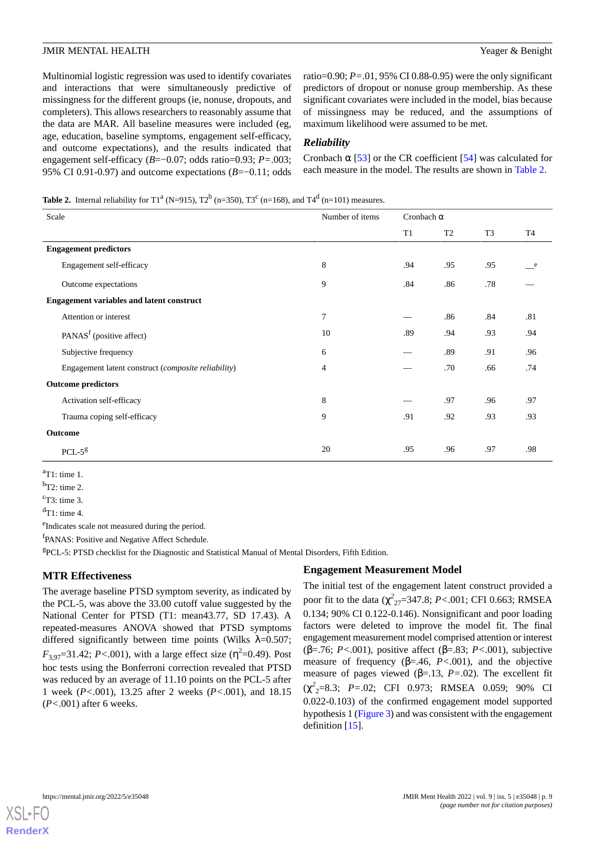Multinomial logistic regression was used to identify covariates and interactions that were simultaneously predictive of missingness for the different groups (ie, nonuse, dropouts, and completers). This allows researchers to reasonably assume that the data are MAR. All baseline measures were included (eg, age, education, baseline symptoms, engagement self-efficacy, and outcome expectations), and the results indicated that engagement self-efficacy (*B*=−0.07; odds ratio=0.93; *P=*.003; 95% CI 0.91-0.97) and outcome expectations (*B*=−0.11; odds ratio=0.90; *P=*.01, 95% CI 0.88-0.95) were the only significant predictors of dropout or nonuse group membership. As these significant covariates were included in the model, bias because of missingness may be reduced, and the assumptions of maximum likelihood were assumed to be met.

## *Reliability*

Cronbach  $\alpha$  [[53\]](#page-15-19) or the CR coefficient [[54\]](#page-15-20) was calculated for each measure in the model. The results are shown in [Table 2.](#page-8-0)

#### <span id="page-8-0"></span>**Table 2.** Internal reliability for T1<sup>a</sup> (N=915), T2<sup>b</sup> (n=350), T3<sup>c</sup> (n=168), and T4<sup>d</sup> (n=101) measures.

| Scale                                               | Number of items | Cronbach $\alpha$ |                |                |           |
|-----------------------------------------------------|-----------------|-------------------|----------------|----------------|-----------|
|                                                     |                 | T1                | T <sub>2</sub> | T <sub>3</sub> | <b>T4</b> |
| <b>Engagement predictors</b>                        |                 |                   |                |                |           |
| Engagement self-efficacy                            | 8               | .94               | .95            | .95            | e e       |
| Outcome expectations                                | 9               | .84               | .86            | .78            |           |
| <b>Engagement variables and latent construct</b>    |                 |                   |                |                |           |
| Attention or interest                               | 7               |                   | .86            | .84            | .81       |
| PANAS <sup>f</sup> (positive affect)                | 10              | .89               | .94            | .93            | .94       |
| Subjective frequency                                | 6               |                   | .89            | .91            | .96       |
| Engagement latent construct (composite reliability) | $\overline{4}$  |                   | .70            | .66            | .74       |
| <b>Outcome predictors</b>                           |                 |                   |                |                |           |
| Activation self-efficacy                            | 8               |                   | .97            | .96            | .97       |
| Trauma coping self-efficacy                         | 9               | .91               | .92            | .93            | .93       |
| Outcome                                             |                 |                   |                |                |           |
| $PCL-5g$                                            | 20              | .95               | .96            | .97            | .98       |

<sup>a</sup>T1: time 1.

 $<sup>b</sup>T2$ : time 2.</sup>

 $\text{c}_{\text{T3}: \text{ time 3}}$ .

 $d$ T1: time 4.

<sup>e</sup>Indicates scale not measured during the period.

<sup>f</sup>PANAS: Positive and Negative Affect Schedule.

g PCL-5: PTSD checklist for the Diagnostic and Statistical Manual of Mental Disorders, Fifth Edition.

## **MTR Effectiveness**

The average baseline PTSD symptom severity, as indicated by the PCL-5, was above the 33.00 cutoff value suggested by the National Center for PTSD (T1: mean43.77, SD 17.43). A repeated-measures ANOVA showed that PTSD symptoms differed significantly between time points (Wilks  $\lambda$ =0.507;  $F_{3,97}$ =31.42; *P*<.001), with a large effect size ( $\eta^2$ =0.49). Post hoc tests using the Bonferroni correction revealed that PTSD was reduced by an average of 11.10 points on the PCL-5 after 1 week (*P<*.001), 13.25 after 2 weeks (*P<*.001), and 18.15 (*P<*.001) after 6 weeks.

## **Engagement Measurement Model**

The initial test of the engagement latent construct provided a poor fit to the data ( $\chi^2_{27}$ =347.8; *P*<.001; CFI 0.663; RMSEA 0.134; 90% CI 0.122-0.146). Nonsignificant and poor loading factors were deleted to improve the model fit. The final engagement measurement model comprised attention or interest (β=.76; *P<*.001), positive affect (β=.83; *P<*.001), subjective measure of frequency (β=.46, *P<*.001), and the objective measure of pages viewed (β=.13, *P=*.02). The excellent fit (χ *2* <sup>2</sup>=8.3; *P=*.02; CFI 0.973; RMSEA 0.059; 90% CI 0.022-0.103) of the confirmed engagement model supported hypothesis 1 [\(Figure 3\)](#page-9-0) and was consistent with the engagement definition [\[15](#page-14-5)].

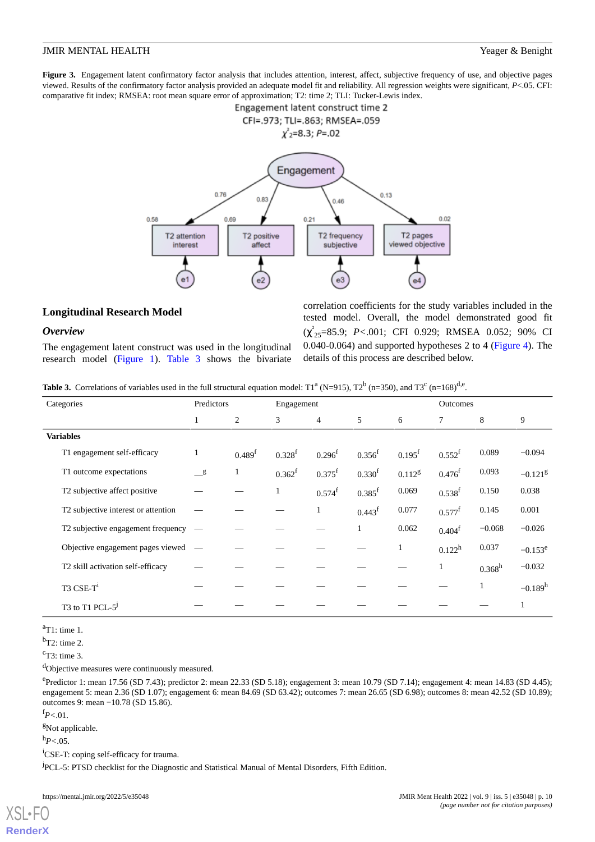<span id="page-9-0"></span>**Figure 3.** Engagement latent confirmatory factor analysis that includes attention, interest, affect, subjective frequency of use, and objective pages viewed. Results of the confirmatory factor analysis provided an adequate model fit and reliability. All regression weights were significant, *P*<.05. CFI: comparative fit index; RMSEA: root mean square error of approximation; T2: time 2; TLI: Tucker-Lewis index.



## **Longitudinal Research Model**

## *Overview*

<span id="page-9-1"></span>The engagement latent construct was used in the longitudinal research model [\(Figure 1\)](#page-2-0). [Table 3](#page-9-1) shows the bivariate

correlation coefficients for the study variables included in the tested model. Overall, the model demonstrated good fit (χ ² <sup>25</sup>=85.9; *P<*.001; CFI 0.929; RMSEA 0.052; 90% CI 0.040-0.064) and supported hypotheses 2 to 4 ([Figure 4](#page-10-0)). The details of this process are described below.

**Table 3.** Correlations of variables used in the full structural equation model:  $T1^a$  (N=915),  $T2^b$  (n=350), and  $T3^c$  (n=168)<sup>d,e</sup>.

| Categories                                          | Predictors       |                    | Engagement  |                      |                      | Outcomes             |                 |                    |            |
|-----------------------------------------------------|------------------|--------------------|-------------|----------------------|----------------------|----------------------|-----------------|--------------------|------------|
|                                                     | $\mathbf{1}$     | $\overline{2}$     | 3           | $\overline{4}$       | 5                    | 6                    | 7               | 8                  | 9          |
| <b>Variables</b>                                    |                  |                    |             |                      |                      |                      |                 |                    |            |
| T1 engagement self-efficacy                         | 1                | 0.489 <sup>f</sup> | $0.328^{f}$ | $0.296^{f}$          | $0.356^{f}$          | $0.195$ <sup>f</sup> | $0.552^{f}$     | 0.089              | $-0.094$   |
| T1 outcome expectations                             | $\_$             | $\mathbf{1}$       | $0.362^{f}$ | $0.375$ <sup>f</sup> | 0.330 <sup>f</sup>   | 0.112 <sup>g</sup>   | $0.476^{f}$     | 0.093              | $-0.121g$  |
| T2 subjective affect positive                       |                  |                    | 1           | $0.574^{\mathrm{f}}$ | $0.385$ <sup>f</sup> | 0.069                | $0.538^{f}$     | 0.150              | 0.038      |
| T2 subjective interest or attention                 |                  |                    |             | $\mathbf{1}$         | 0.443 <sup>f</sup>   | 0.077                | $0.577^{\rm f}$ | 0.145              | 0.001      |
| T2 subjective engagement frequency                  |                  |                    |             |                      | $\mathbf{1}$         | 0.062                | $0.404^f$       | $-0.068$           | $-0.026$   |
| Objective engagement pages viewed                   | $\hspace{0.1mm}$ |                    |             |                      |                      | 1                    | $0.122^h$       | 0.037              | $-0.153^e$ |
| T2 skill activation self-efficacy                   |                  |                    |             |                      |                      |                      | 1               | 0.368 <sup>h</sup> | $-0.032$   |
| $T3$ CSE- $T1$                                      |                  |                    |             |                      |                      |                      |                 |                    | $-0.189h$  |
| T <sub>3</sub> to T <sub>1</sub> PCL-5 <sup>1</sup> |                  |                    |             |                      |                      |                      |                 |                    |            |

 $a$ T1: time 1.

 $bT2$ : time 2.

 $\text{c}_{\text{T3}: \text{ time 3}}$ .

<sup>d</sup>Objective measures were continuously measured.

e<br>Predictor 1: mean 17.56 (SD 7.43); predictor 2: mean 22.33 (SD 5.18); engagement 3: mean 10.79 (SD 7.14); engagement 4: mean 14.83 (SD 4.45); engagement 5: mean 2.36 (SD 1.07); engagement 6: mean 84.69 (SD 63.42); outcomes 7: mean 26.65 (SD 6.98); outcomes 8: mean 42.52 (SD 10.89); outcomes 9: mean −10.78 (SD 15.86).

<sup>f</sup>*P<*.01.

<sup>g</sup>Not applicable.

<sup>h</sup>*P<*.05.

[XSL](http://www.w3.org/Style/XSL)•FO **[RenderX](http://www.renderx.com/)**

<sup>i</sup>CSE-T: coping self-efficacy for trauma.

<sup>j</sup>PCL-5: PTSD checklist for the Diagnostic and Statistical Manual of Mental Disorders, Fifth Edition.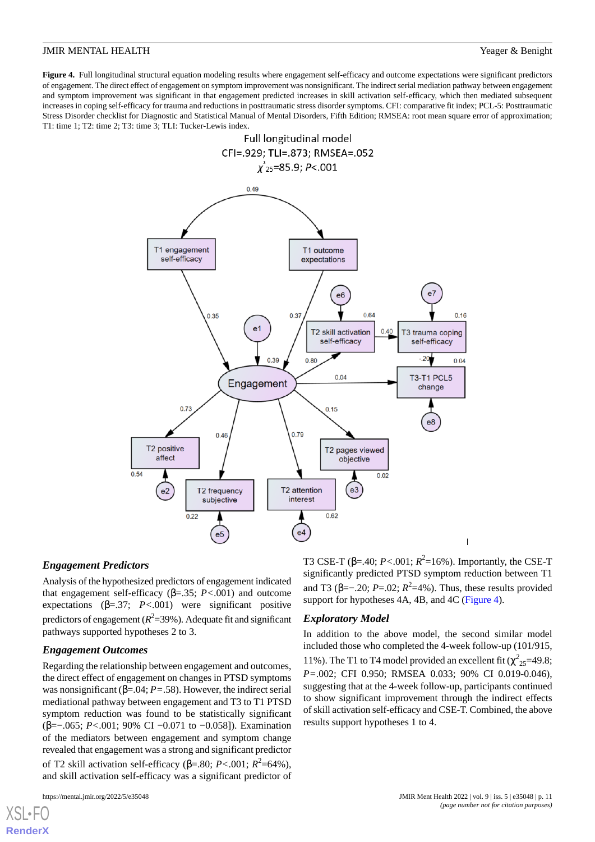<span id="page-10-0"></span>Figure 4. Full longitudinal structural equation modeling results where engagement self-efficacy and outcome expectations were significant predictors of engagement. The direct effect of engagement on symptom improvement was nonsignificant. The indirect serial mediation pathway between engagement and symptom improvement was significant in that engagement predicted increases in skill activation self-efficacy, which then mediated subsequent increases in coping self-efficacy for trauma and reductions in posttraumatic stress disorder symptoms. CFI: comparative fit index; PCL-5: Posttraumatic Stress Disorder checklist for Diagnostic and Statistical Manual of Mental Disorders, Fifth Edition; RMSEA: root mean square error of approximation; T1: time 1; T2: time 2; T3: time 3; TLI: Tucker-Lewis index.



#### *Engagement Predictors*

Analysis of the hypothesized predictors of engagement indicated that engagement self-efficacy (β=.35; *P<*.001) and outcome expectations  $(\beta = .37; P < .001)$  were significant positive predictors of engagement ( $R^2$ =39%). Adequate fit and significant pathways supported hypotheses 2 to 3.

## *Engagement Outcomes*

Regarding the relationship between engagement and outcomes, the direct effect of engagement on changes in PTSD symptoms was nonsignificant (β=.04; *P=*.58). However, the indirect serial mediational pathway between engagement and T3 to T1 PTSD symptom reduction was found to be statistically significant (β=−.065; *P<*.001; 90% CI −0.071 to −0.058]). Examination of the mediators between engagement and symptom change revealed that engagement was a strong and significant predictor of T2 skill activation self-efficacy (β=.80;  $P < .001$ ;  $R^2 = 64\%$ ), and skill activation self-efficacy was a significant predictor of

T3 CSE-T (β=.40; *P*<.001;  $R^2$ =16%). Importantly, the CSE-T significantly predicted PTSD symptom reduction between T1 and T3 (β=–.20;  $P = 0.02$ ;  $R^2 = 4\%$ ). Thus, these results provided support for hypotheses 4A, 4B, and 4C ([Figure 4](#page-10-0)).

## *Exploratory Model*

In addition to the above model, the second similar model included those who completed the 4-week follow-up (101/915, 11%). The T1 to T4 model provided an excellent fit  $(\chi^2_{25}=49.8;$ *P=*.002; CFI 0.950; RMSEA 0.033; 90% CI 0.019-0.046), suggesting that at the 4-week follow-up, participants continued to show significant improvement through the indirect effects of skill activation self-efficacy and CSE-T. Combined, the above results support hypotheses 1 to 4.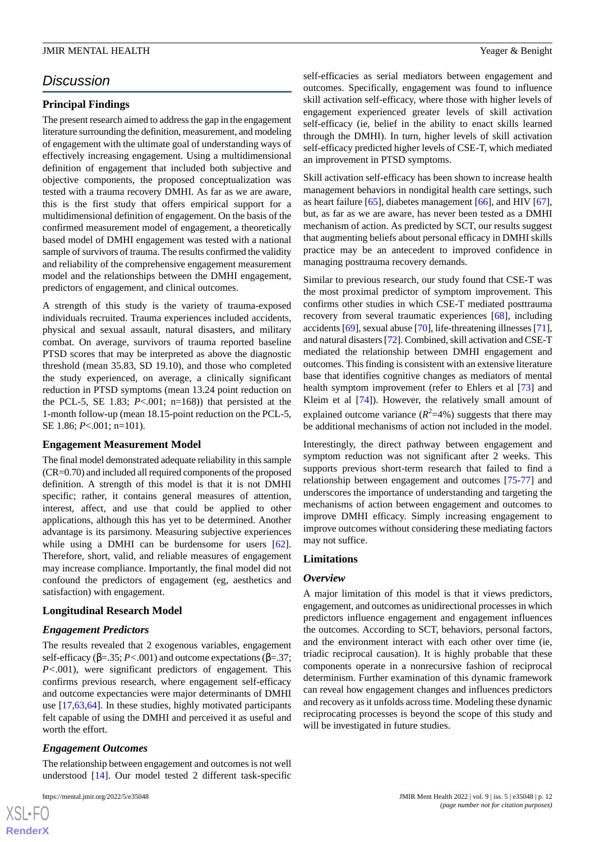## *Discussion*

## **Principal Findings**

The present research aimed to address the gap in the engagement literature surrounding the definition, measurement, and modeling of engagement with the ultimate goal of understanding ways of effectively increasing engagement. Using a multidimensional definition of engagement that included both subjective and objective components, the proposed conceptualization was tested with a trauma recovery DMHI. As far as we are aware, this is the first study that offers empirical support for a multidimensional definition of engagement. On the basis of the confirmed measurement model of engagement, a theoretically based model of DMHI engagement was tested with a national sample of survivors of trauma. The results confirmed the validity and reliability of the comprehensive engagement measurement model and the relationships between the DMHI engagement, predictors of engagement, and clinical outcomes.

A strength of this study is the variety of trauma-exposed individuals recruited. Trauma experiences included accidents, physical and sexual assault, natural disasters, and military combat. On average, survivors of trauma reported baseline PTSD scores that may be interpreted as above the diagnostic threshold (mean 35.83, SD 19.10), and those who completed the study experienced, on average, a clinically significant reduction in PTSD symptoms (mean 13.24 point reduction on the PCL-5, SE 1.83;  $P<.001$ ; n=168)) that persisted at the 1-month follow-up (mean 18.15-point reduction on the PCL-5, SE 1.86; *P*<.001; n=101).

## **Engagement Measurement Model**

The final model demonstrated adequate reliability in this sample (CR=0.70) and included all required components of the proposed definition. A strength of this model is that it is not DMHI specific; rather, it contains general measures of attention, interest, affect, and use that could be applied to other applications, although this has yet to be determined. Another advantage is its parsimony. Measuring subjective experiences while using a DMHI can be burdensome for users [[62\]](#page-16-4). Therefore, short, valid, and reliable measures of engagement may increase compliance. Importantly, the final model did not confound the predictors of engagement (eg, aesthetics and satisfaction) with engagement.

## **Longitudinal Research Model**

## *Engagement Predictors*

The results revealed that 2 exogenous variables, engagement self-efficacy (β=.35; *P<*.001) and outcome expectations (β=.37; *P*<.001), were significant predictors of engagement. This confirms previous research, where engagement self-efficacy and outcome expectancies were major determinants of DMHI use [\[17](#page-14-7),[63,](#page-16-5)[64](#page-16-6)]. In these studies, highly motivated participants felt capable of using the DMHI and perceived it as useful and worth the effort.

## *Engagement Outcomes*

The relationship between engagement and outcomes is not well understood [[14\]](#page-14-4). Our model tested 2 different task-specific

 $XS$  $\cdot$ FC **[RenderX](http://www.renderx.com/)** self-efficacies as serial mediators between engagement and outcomes. Specifically, engagement was found to influence skill activation self-efficacy, where those with higher levels of engagement experienced greater levels of skill activation self-efficacy (ie, belief in the ability to enact skills learned through the DMHI). In turn, higher levels of skill activation self-efficacy predicted higher levels of CSE-T, which mediated an improvement in PTSD symptoms.

Skill activation self-efficacy has been shown to increase health management behaviors in nondigital health care settings, such as heart failure [\[65](#page-16-7)], diabetes management [\[66](#page-16-8)], and HIV [[67\]](#page-16-9), but, as far as we are aware, has never been tested as a DMHI mechanism of action. As predicted by SCT, our results suggest that augmenting beliefs about personal efficacy in DMHI skills practice may be an antecedent to improved confidence in managing posttrauma recovery demands.

Similar to previous research, our study found that CSE-T was the most proximal predictor of symptom improvement. This confirms other studies in which CSE-T mediated posttrauma recovery from several traumatic experiences [[68\]](#page-16-10), including accidents [[69\]](#page-16-11), sexual abuse [\[70\]](#page-16-12), life-threatening illnesses [\[71](#page-16-13)], and natural disasters [[72\]](#page-16-14). Combined, skill activation and CSE-T mediated the relationship between DMHI engagement and outcomes. This finding is consistent with an extensive literature base that identifies cognitive changes as mediators of mental health symptom improvement (refer to Ehlers et al [\[73](#page-16-15)] and Kleim et al [[74\]](#page-16-16)). However, the relatively small amount of explained outcome variance  $(R^2=4\%)$  suggests that there may be additional mechanisms of action not included in the model.

Interestingly, the direct pathway between engagement and symptom reduction was not significant after 2 weeks. This supports previous short-term research that failed to find a relationship between engagement and outcomes [[75-](#page-16-17)[77](#page-16-18)] and underscores the importance of understanding and targeting the mechanisms of action between engagement and outcomes to improve DMHI efficacy. Simply increasing engagement to improve outcomes without considering these mediating factors may not suffice.

## **Limitations**

## *Overview*

A major limitation of this model is that it views predictors, engagement, and outcomes as unidirectional processes in which predictors influence engagement and engagement influences the outcomes. According to SCT, behaviors, personal factors, and the environment interact with each other over time (ie, triadic reciprocal causation). It is highly probable that these components operate in a nonrecursive fashion of reciprocal determinism. Further examination of this dynamic framework can reveal how engagement changes and influences predictors and recovery as it unfolds across time. Modeling these dynamic reciprocating processes is beyond the scope of this study and will be investigated in future studies.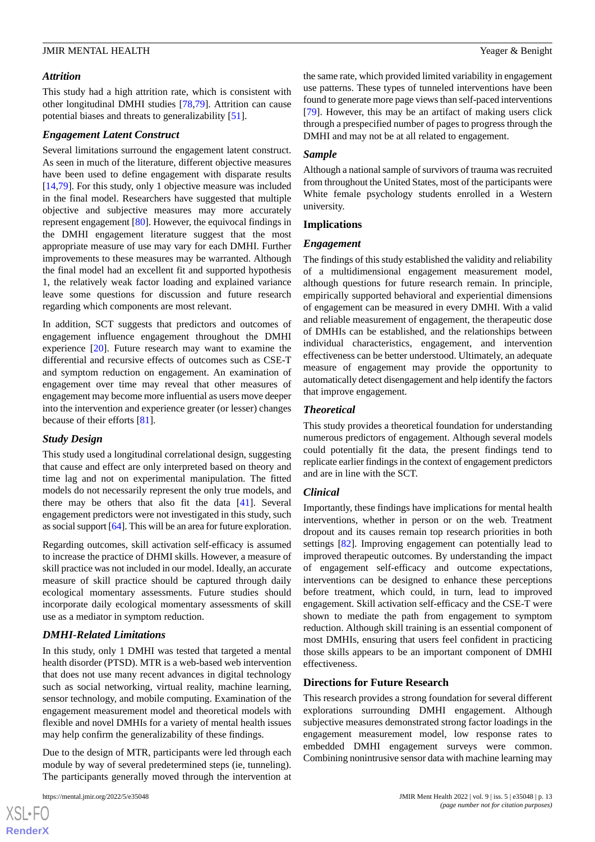#### *Attrition*

This study had a high attrition rate, which is consistent with other longitudinal DMHI studies [[78,](#page-16-19)[79](#page-16-20)]. Attrition can cause potential biases and threats to generalizability [\[51](#page-15-17)].

#### *Engagement Latent Construct*

Several limitations surround the engagement latent construct. As seen in much of the literature, different objective measures have been used to define engagement with disparate results [[14](#page-14-4)[,79](#page-16-20)]. For this study, only 1 objective measure was included in the final model. Researchers have suggested that multiple objective and subjective measures may more accurately represent engagement [\[80](#page-17-0)]. However, the equivocal findings in the DMHI engagement literature suggest that the most appropriate measure of use may vary for each DMHI. Further improvements to these measures may be warranted. Although the final model had an excellent fit and supported hypothesis 1, the relatively weak factor loading and explained variance leave some questions for discussion and future research regarding which components are most relevant.

In addition, SCT suggests that predictors and outcomes of engagement influence engagement throughout the DMHI experience [[20\]](#page-14-10). Future research may want to examine the differential and recursive effects of outcomes such as CSE-T and symptom reduction on engagement. An examination of engagement over time may reveal that other measures of engagement may become more influential as users move deeper into the intervention and experience greater (or lesser) changes because of their efforts [\[81](#page-17-1)].

## *Study Design*

This study used a longitudinal correlational design, suggesting that cause and effect are only interpreted based on theory and time lag and not on experimental manipulation. The fitted models do not necessarily represent the only true models, and there may be others that also fit the data [\[41](#page-15-7)]. Several engagement predictors were not investigated in this study, such as social support [[64\]](#page-16-6). This will be an area for future exploration.

Regarding outcomes, skill activation self-efficacy is assumed to increase the practice of DHMI skills. However, a measure of skill practice was not included in our model. Ideally, an accurate measure of skill practice should be captured through daily ecological momentary assessments. Future studies should incorporate daily ecological momentary assessments of skill use as a mediator in symptom reduction.

## *DMHI-Related Limitations*

In this study, only 1 DMHI was tested that targeted a mental health disorder (PTSD). MTR is a web-based web intervention that does not use many recent advances in digital technology such as social networking, virtual reality, machine learning, sensor technology, and mobile computing. Examination of the engagement measurement model and theoretical models with flexible and novel DMHIs for a variety of mental health issues may help confirm the generalizability of these findings.

Due to the design of MTR, participants were led through each module by way of several predetermined steps (ie, tunneling). The participants generally moved through the intervention at

the same rate, which provided limited variability in engagement use patterns. These types of tunneled interventions have been found to generate more page views than self-paced interventions [[79\]](#page-16-20). However, this may be an artifact of making users click through a prespecified number of pages to progress through the DMHI and may not be at all related to engagement.

## *Sample*

Although a national sample of survivors of trauma was recruited from throughout the United States, most of the participants were White female psychology students enrolled in a Western university.

## **Implications**

#### *Engagement*

The findings of this study established the validity and reliability of a multidimensional engagement measurement model, although questions for future research remain. In principle, empirically supported behavioral and experiential dimensions of engagement can be measured in every DMHI. With a valid and reliable measurement of engagement, the therapeutic dose of DMHIs can be established, and the relationships between individual characteristics, engagement, and intervention effectiveness can be better understood. Ultimately, an adequate measure of engagement may provide the opportunity to automatically detect disengagement and help identify the factors that improve engagement.

## *Theoretical*

This study provides a theoretical foundation for understanding numerous predictors of engagement. Although several models could potentially fit the data, the present findings tend to replicate earlier findings in the context of engagement predictors and are in line with the SCT.

#### *Clinical*

Importantly, these findings have implications for mental health interventions, whether in person or on the web. Treatment dropout and its causes remain top research priorities in both settings [[82\]](#page-17-2). Improving engagement can potentially lead to improved therapeutic outcomes. By understanding the impact of engagement self-efficacy and outcome expectations, interventions can be designed to enhance these perceptions before treatment, which could, in turn, lead to improved engagement. Skill activation self-efficacy and the CSE-T were shown to mediate the path from engagement to symptom reduction. Although skill training is an essential component of most DMHIs, ensuring that users feel confident in practicing those skills appears to be an important component of DMHI effectiveness.

## **Directions for Future Research**

This research provides a strong foundation for several different explorations surrounding DMHI engagement. Although subjective measures demonstrated strong factor loadings in the engagement measurement model, low response rates to embedded DMHI engagement surveys were common. Combining nonintrusive sensor data with machine learning may

```
XSL•FO
RenderX
```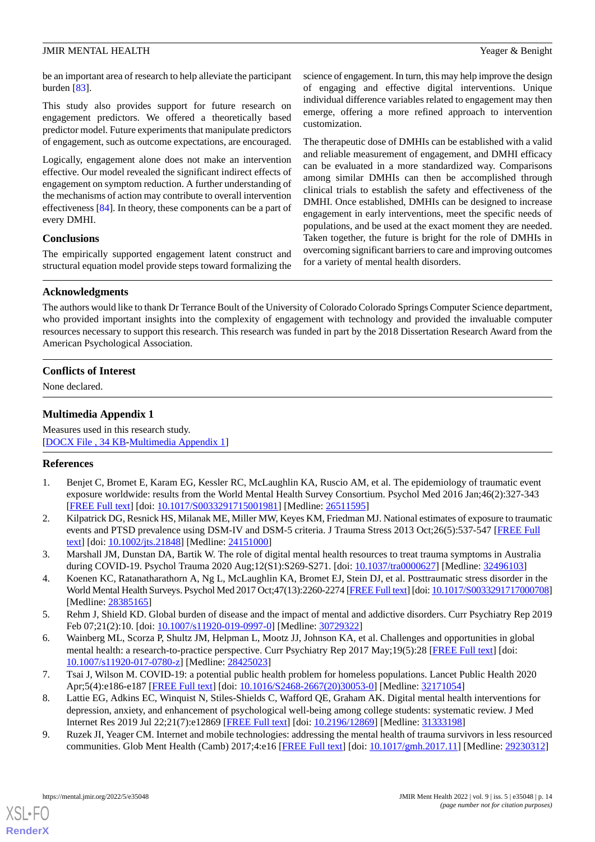be an important area of research to help alleviate the participant burden  $[83]$  $[83]$ .

This study also provides support for future research on engagement predictors. We offered a theoretically based predictor model. Future experiments that manipulate predictors of engagement, such as outcome expectations, are encouraged.

Logically, engagement alone does not make an intervention effective. Our model revealed the significant indirect effects of engagement on symptom reduction. A further understanding of the mechanisms of action may contribute to overall intervention effectiveness [[84\]](#page-17-4). In theory, these components can be a part of every DMHI.

## **Conclusions**

The empirically supported engagement latent construct and structural equation model provide steps toward formalizing the science of engagement. In turn, this may help improve the design of engaging and effective digital interventions. Unique individual difference variables related to engagement may then emerge, offering a more refined approach to intervention customization.

The therapeutic dose of DMHIs can be established with a valid and reliable measurement of engagement, and DMHI efficacy can be evaluated in a more standardized way. Comparisons among similar DMHIs can then be accomplished through clinical trials to establish the safety and effectiveness of the DMHI. Once established, DMHIs can be designed to increase engagement in early interventions, meet the specific needs of populations, and be used at the exact moment they are needed. Taken together, the future is bright for the role of DMHIs in overcoming significant barriers to care and improving outcomes for a variety of mental health disorders.

## **Acknowledgments**

The authors would like to thank Dr Terrance Boult of the University of Colorado Colorado Springs Computer Science department, who provided important insights into the complexity of engagement with technology and provided the invaluable computer resources necessary to support this research. This research was funded in part by the 2018 Dissertation Research Award from the American Psychological Association.

## <span id="page-13-9"></span>**Conflicts of Interest**

None declared.

## **Multimedia Appendix 1**

<span id="page-13-0"></span>Measures used in this research study. [[DOCX File , 34 KB](https://jmir.org/api/download?alt_name=mental_v9i5e35048_app1.docx&filename=3f68769bed8ab12be8c8879553cc77c4.docx)-[Multimedia Appendix 1\]](https://jmir.org/api/download?alt_name=mental_v9i5e35048_app1.docx&filename=3f68769bed8ab12be8c8879553cc77c4.docx)

## <span id="page-13-1"></span>**References**

- <span id="page-13-2"></span>1. Benjet C, Bromet E, Karam EG, Kessler RC, McLaughlin KA, Ruscio AM, et al. The epidemiology of traumatic event exposure worldwide: results from the World Mental Health Survey Consortium. Psychol Med 2016 Jan;46(2):327-343 [[FREE Full text](http://europepmc.org/abstract/MED/26511595)] [doi: [10.1017/S0033291715001981](http://dx.doi.org/10.1017/S0033291715001981)] [Medline: [26511595](http://www.ncbi.nlm.nih.gov/entrez/query.fcgi?cmd=Retrieve&db=PubMed&list_uids=26511595&dopt=Abstract)]
- <span id="page-13-3"></span>2. Kilpatrick DG, Resnick HS, Milanak ME, Miller MW, Keyes KM, Friedman MJ. National estimates of exposure to traumatic events and PTSD prevalence using DSM-IV and DSM-5 criteria. J Trauma Stress 2013 Oct;26(5):537-547 [[FREE Full](http://europepmc.org/abstract/MED/24151000) [text](http://europepmc.org/abstract/MED/24151000)] [doi: [10.1002/jts.21848\]](http://dx.doi.org/10.1002/jts.21848) [Medline: [24151000\]](http://www.ncbi.nlm.nih.gov/entrez/query.fcgi?cmd=Retrieve&db=PubMed&list_uids=24151000&dopt=Abstract)
- <span id="page-13-4"></span>3. Marshall JM, Dunstan DA, Bartik W. The role of digital mental health resources to treat trauma symptoms in Australia during COVID-19. Psychol Trauma 2020 Aug;12(S1):S269-S271. [doi: [10.1037/tra0000627](http://dx.doi.org/10.1037/tra0000627)] [Medline: [32496103\]](http://www.ncbi.nlm.nih.gov/entrez/query.fcgi?cmd=Retrieve&db=PubMed&list_uids=32496103&dopt=Abstract)
- <span id="page-13-5"></span>4. Koenen KC, Ratanatharathorn A, Ng L, McLaughlin KA, Bromet EJ, Stein DJ, et al. Posttraumatic stress disorder in the World Mental Health Surveys. Psychol Med 2017 Oct;47(13):2260-2274 [\[FREE Full text](http://europepmc.org/abstract/MED/28385165)] [doi: [10.1017/S0033291717000708\]](http://dx.doi.org/10.1017/S0033291717000708) [Medline: [28385165](http://www.ncbi.nlm.nih.gov/entrez/query.fcgi?cmd=Retrieve&db=PubMed&list_uids=28385165&dopt=Abstract)]
- <span id="page-13-6"></span>5. Rehm J, Shield KD. Global burden of disease and the impact of mental and addictive disorders. Curr Psychiatry Rep 2019 Feb 07;21(2):10. [doi: [10.1007/s11920-019-0997-0\]](http://dx.doi.org/10.1007/s11920-019-0997-0) [Medline: [30729322\]](http://www.ncbi.nlm.nih.gov/entrez/query.fcgi?cmd=Retrieve&db=PubMed&list_uids=30729322&dopt=Abstract)
- <span id="page-13-7"></span>6. Wainberg ML, Scorza P, Shultz JM, Helpman L, Mootz JJ, Johnson KA, et al. Challenges and opportunities in global mental health: a research-to-practice perspective. Curr Psychiatry Rep 2017 May;19(5):28 [[FREE Full text](http://europepmc.org/abstract/MED/28425023)] [doi: [10.1007/s11920-017-0780-z](http://dx.doi.org/10.1007/s11920-017-0780-z)] [Medline: [28425023\]](http://www.ncbi.nlm.nih.gov/entrez/query.fcgi?cmd=Retrieve&db=PubMed&list_uids=28425023&dopt=Abstract)
- <span id="page-13-8"></span>7. Tsai J, Wilson M. COVID-19: a potential public health problem for homeless populations. Lancet Public Health 2020 Apr;5(4):e186-e187 [\[FREE Full text\]](https://linkinghub.elsevier.com/retrieve/pii/S2468-2667(20)30053-0) [doi: [10.1016/S2468-2667\(20\)30053-0](http://dx.doi.org/10.1016/S2468-2667(20)30053-0)] [Medline: [32171054\]](http://www.ncbi.nlm.nih.gov/entrez/query.fcgi?cmd=Retrieve&db=PubMed&list_uids=32171054&dopt=Abstract)
- 8. Lattie EG, Adkins EC, Winquist N, Stiles-Shields C, Wafford QE, Graham AK. Digital mental health interventions for depression, anxiety, and enhancement of psychological well-being among college students: systematic review. J Med Internet Res 2019 Jul 22;21(7):e12869 [[FREE Full text](https://www.jmir.org/2019/7/e12869/)] [doi: [10.2196/12869\]](http://dx.doi.org/10.2196/12869) [Medline: [31333198](http://www.ncbi.nlm.nih.gov/entrez/query.fcgi?cmd=Retrieve&db=PubMed&list_uids=31333198&dopt=Abstract)]
- 9. Ruzek JI, Yeager CM. Internet and mobile technologies: addressing the mental health of trauma survivors in less resourced communities. Glob Ment Health (Camb) 2017;4:e16 [\[FREE Full text\]](http://europepmc.org/abstract/MED/29230312) [doi: [10.1017/gmh.2017.11](http://dx.doi.org/10.1017/gmh.2017.11)] [Medline: [29230312\]](http://www.ncbi.nlm.nih.gov/entrez/query.fcgi?cmd=Retrieve&db=PubMed&list_uids=29230312&dopt=Abstract)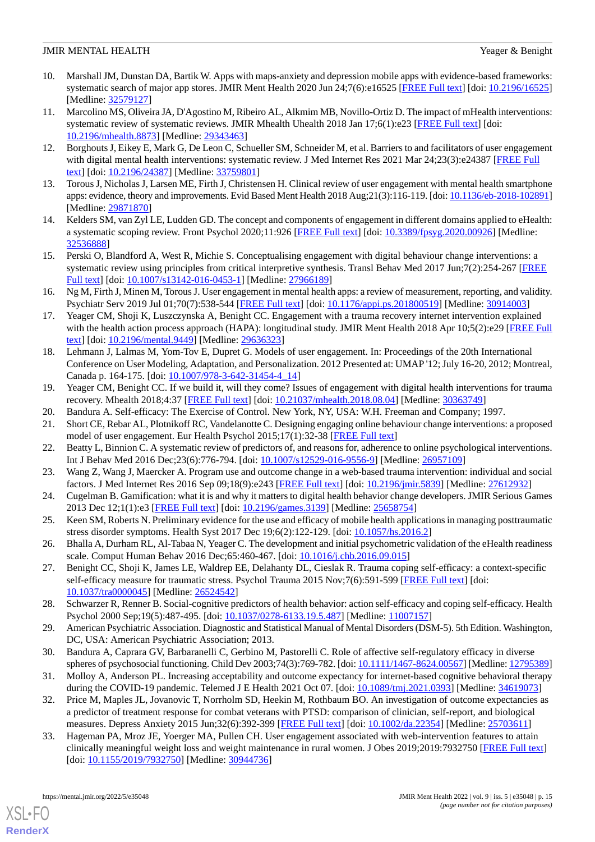- <span id="page-14-0"></span>10. Marshall JM, Dunstan DA, Bartik W. Apps with maps-anxiety and depression mobile apps with evidence-based frameworks: systematic search of major app stores. JMIR Ment Health 2020 Jun 24;7(6):e16525 [\[FREE Full text](https://mental.jmir.org/2020/6/e16525/)] [doi: [10.2196/16525](http://dx.doi.org/10.2196/16525)] [Medline: [32579127](http://www.ncbi.nlm.nih.gov/entrez/query.fcgi?cmd=Retrieve&db=PubMed&list_uids=32579127&dopt=Abstract)]
- <span id="page-14-1"></span>11. Marcolino MS, Oliveira JA, D'Agostino M, Ribeiro AL, Alkmim MB, Novillo-Ortiz D. The impact of mHealth interventions: systematic review of systematic reviews. JMIR Mhealth Uhealth 2018 Jan 17;6(1):e23 [[FREE Full text](https://mhealth.jmir.org/2018/1/e23/)] [doi: [10.2196/mhealth.8873](http://dx.doi.org/10.2196/mhealth.8873)] [Medline: [29343463](http://www.ncbi.nlm.nih.gov/entrez/query.fcgi?cmd=Retrieve&db=PubMed&list_uids=29343463&dopt=Abstract)]
- <span id="page-14-3"></span><span id="page-14-2"></span>12. Borghouts J, Eikey E, Mark G, De Leon C, Schueller SM, Schneider M, et al. Barriers to and facilitators of user engagement with digital mental health interventions: systematic review. J Med Internet Res 2021 Mar 24;23(3):e24387 [\[FREE Full](https://www.jmir.org/2021/3/e24387/) [text](https://www.jmir.org/2021/3/e24387/)] [doi: [10.2196/24387\]](http://dx.doi.org/10.2196/24387) [Medline: [33759801\]](http://www.ncbi.nlm.nih.gov/entrez/query.fcgi?cmd=Retrieve&db=PubMed&list_uids=33759801&dopt=Abstract)
- <span id="page-14-4"></span>13. Torous J, Nicholas J, Larsen ME, Firth J, Christensen H. Clinical review of user engagement with mental health smartphone apps: evidence, theory and improvements. Evid Based Ment Health 2018 Aug;21(3):116-119. [doi: [10.1136/eb-2018-102891\]](http://dx.doi.org/10.1136/eb-2018-102891) [Medline: [29871870](http://www.ncbi.nlm.nih.gov/entrez/query.fcgi?cmd=Retrieve&db=PubMed&list_uids=29871870&dopt=Abstract)]
- <span id="page-14-5"></span>14. Kelders SM, van Zyl LE, Ludden GD. The concept and components of engagement in different domains applied to eHealth: a systematic scoping review. Front Psychol 2020;11:926 [[FREE Full text](https://doi.org/10.3389/fpsyg.2020.00926)] [doi: [10.3389/fpsyg.2020.00926\]](http://dx.doi.org/10.3389/fpsyg.2020.00926) [Medline: [32536888](http://www.ncbi.nlm.nih.gov/entrez/query.fcgi?cmd=Retrieve&db=PubMed&list_uids=32536888&dopt=Abstract)]
- <span id="page-14-6"></span>15. Perski O, Blandford A, West R, Michie S. Conceptualising engagement with digital behaviour change interventions: a systematic review using principles from critical interpretive synthesis. Transl Behav Med 2017 Jun;7(2):254-267 [[FREE](http://europepmc.org/abstract/MED/27966189) [Full text\]](http://europepmc.org/abstract/MED/27966189) [doi: [10.1007/s13142-016-0453-1](http://dx.doi.org/10.1007/s13142-016-0453-1)] [Medline: [27966189](http://www.ncbi.nlm.nih.gov/entrez/query.fcgi?cmd=Retrieve&db=PubMed&list_uids=27966189&dopt=Abstract)]
- <span id="page-14-7"></span>16. Ng M, Firth J, Minen M, Torous J. User engagement in mental health apps: a review of measurement, reporting, and validity. Psychiatr Serv 2019 Jul 01;70(7):538-544 [\[FREE Full text](http://europepmc.org/abstract/MED/30914003)] [doi: [10.1176/appi.ps.201800519](http://dx.doi.org/10.1176/appi.ps.201800519)] [Medline: [30914003\]](http://www.ncbi.nlm.nih.gov/entrez/query.fcgi?cmd=Retrieve&db=PubMed&list_uids=30914003&dopt=Abstract)
- <span id="page-14-8"></span>17. Yeager CM, Shoji K, Luszczynska A, Benight CC. Engagement with a trauma recovery internet intervention explained with the health action process approach (HAPA): longitudinal study. JMIR Ment Health 2018 Apr 10;5(2):e29 [[FREE Full](https://mental.jmir.org/2018/2/e29/) [text](https://mental.jmir.org/2018/2/e29/)] [doi: [10.2196/mental.9449\]](http://dx.doi.org/10.2196/mental.9449) [Medline: [29636323](http://www.ncbi.nlm.nih.gov/entrez/query.fcgi?cmd=Retrieve&db=PubMed&list_uids=29636323&dopt=Abstract)]
- <span id="page-14-9"></span>18. Lehmann J, Lalmas M, Yom-Tov E, Dupret G. Models of user engagement. In: Proceedings of the 20th International Conference on User Modeling, Adaptation, and Personalization. 2012 Presented at: UMAP '12; July 16-20, 2012; Montreal, Canada p. 164-175. [doi: 10.1007/978-3-642-31454-4 14]
- <span id="page-14-11"></span><span id="page-14-10"></span>19. Yeager CM, Benight CC. If we build it, will they come? Issues of engagement with digital health interventions for trauma recovery. Mhealth 2018;4:37 [[FREE Full text](https://doi.org/10.21037/mhealth.2018.08.04)] [doi: [10.21037/mhealth.2018.08.04](http://dx.doi.org/10.21037/mhealth.2018.08.04)] [Medline: [30363749](http://www.ncbi.nlm.nih.gov/entrez/query.fcgi?cmd=Retrieve&db=PubMed&list_uids=30363749&dopt=Abstract)]
- <span id="page-14-12"></span>20. Bandura A. Self-efficacy: The Exercise of Control. New York, NY, USA: W.H. Freeman and Company; 1997.
- <span id="page-14-13"></span>21. Short CE, Rebar AL, Plotnikoff RC, Vandelanotte C. Designing engaging online behaviour change interventions: a proposed model of user engagement. Eur Health Psychol 2015;17(1):32-38 [[FREE Full text](https://www.ehps.net/ehp/index.php/contents/article/view/763)]
- <span id="page-14-14"></span>22. Beatty L, Binnion C. A systematic review of predictors of, and reasons for, adherence to online psychological interventions. Int J Behav Med 2016 Dec;23(6):776-794. [doi: [10.1007/s12529-016-9556-9\]](http://dx.doi.org/10.1007/s12529-016-9556-9) [Medline: [26957109\]](http://www.ncbi.nlm.nih.gov/entrez/query.fcgi?cmd=Retrieve&db=PubMed&list_uids=26957109&dopt=Abstract)
- <span id="page-14-15"></span>23. Wang Z, Wang J, Maercker A. Program use and outcome change in a web-based trauma intervention: individual and social factors. J Med Internet Res 2016 Sep 09;18(9):e243 [\[FREE Full text\]](https://www.jmir.org/2016/9/e243/) [doi: [10.2196/jmir.5839\]](http://dx.doi.org/10.2196/jmir.5839) [Medline: [27612932\]](http://www.ncbi.nlm.nih.gov/entrez/query.fcgi?cmd=Retrieve&db=PubMed&list_uids=27612932&dopt=Abstract)
- <span id="page-14-16"></span>24. Cugelman B. Gamification: what it is and why it matters to digital health behavior change developers. JMIR Serious Games 2013 Dec 12;1(1):e3 [\[FREE Full text\]](https://games.jmir.org/2013/1/e3/) [doi: [10.2196/games.3139](http://dx.doi.org/10.2196/games.3139)] [Medline: [25658754\]](http://www.ncbi.nlm.nih.gov/entrez/query.fcgi?cmd=Retrieve&db=PubMed&list_uids=25658754&dopt=Abstract)
- <span id="page-14-17"></span>25. Keen SM, Roberts N. Preliminary evidence for the use and efficacy of mobile health applications in managing posttraumatic stress disorder symptoms. Health Syst 2017 Dec 19;6(2):122-129. [doi: [10.1057/hs.2016.2\]](http://dx.doi.org/10.1057/hs.2016.2)
- <span id="page-14-18"></span>26. Bhalla A, Durham RL, Al-Tabaa N, Yeager C. The development and initial psychometric validation of the eHealth readiness scale. Comput Human Behav 2016 Dec;65:460-467. [doi: [10.1016/j.chb.2016.09.015](http://dx.doi.org/10.1016/j.chb.2016.09.015)]
- <span id="page-14-19"></span>27. Benight CC, Shoji K, James LE, Waldrep EE, Delahanty DL, Cieslak R. Trauma coping self-efficacy: a context-specific self-efficacy measure for traumatic stress. Psychol Trauma 2015 Nov;7(6):591-599 [\[FREE Full text\]](http://europepmc.org/abstract/MED/26524542) [doi: [10.1037/tra0000045](http://dx.doi.org/10.1037/tra0000045)] [Medline: [26524542](http://www.ncbi.nlm.nih.gov/entrez/query.fcgi?cmd=Retrieve&db=PubMed&list_uids=26524542&dopt=Abstract)]
- <span id="page-14-21"></span><span id="page-14-20"></span>28. Schwarzer R, Renner B. Social-cognitive predictors of health behavior: action self-efficacy and coping self-efficacy. Health Psychol 2000 Sep;19(5):487-495. [doi: [10.1037/0278-6133.19.5.487](http://dx.doi.org/10.1037/0278-6133.19.5.487)] [Medline: [11007157](http://www.ncbi.nlm.nih.gov/entrez/query.fcgi?cmd=Retrieve&db=PubMed&list_uids=11007157&dopt=Abstract)]
- <span id="page-14-22"></span>29. American Psychiatric Association. Diagnostic and Statistical Manual of Mental Disorders (DSM-5). 5th Edition. Washington, DC, USA: American Psychiatric Association; 2013.
- <span id="page-14-23"></span>30. Bandura A, Caprara GV, Barbaranelli C, Gerbino M, Pastorelli C. Role of affective self-regulatory efficacy in diverse spheres of psychosocial functioning. Child Dev 2003;74(3):769-782. [doi: [10.1111/1467-8624.00567\]](http://dx.doi.org/10.1111/1467-8624.00567) [Medline: [12795389\]](http://www.ncbi.nlm.nih.gov/entrez/query.fcgi?cmd=Retrieve&db=PubMed&list_uids=12795389&dopt=Abstract)
- 31. Molloy A, Anderson PL. Increasing acceptability and outcome expectancy for internet-based cognitive behavioral therapy during the COVID-19 pandemic. Telemed J E Health 2021 Oct 07. [doi: [10.1089/tmj.2021.0393](http://dx.doi.org/10.1089/tmj.2021.0393)] [Medline: [34619073\]](http://www.ncbi.nlm.nih.gov/entrez/query.fcgi?cmd=Retrieve&db=PubMed&list_uids=34619073&dopt=Abstract)
- 32. Price M, Maples JL, Jovanovic T, Norrholm SD, Heekin M, Rothbaum BO. An investigation of outcome expectancies as a predictor of treatment response for combat veterans with PTSD: comparison of clinician, self-report, and biological measures. Depress Anxiety 2015 Jun;32(6):392-399 [[FREE Full text](http://europepmc.org/abstract/MED/25703611)] [doi: [10.1002/da.22354\]](http://dx.doi.org/10.1002/da.22354) [Medline: [25703611\]](http://www.ncbi.nlm.nih.gov/entrez/query.fcgi?cmd=Retrieve&db=PubMed&list_uids=25703611&dopt=Abstract)
- 33. Hageman PA, Mroz JE, Yoerger MA, Pullen CH. User engagement associated with web-intervention features to attain clinically meaningful weight loss and weight maintenance in rural women. J Obes 2019;2019:7932750 [[FREE Full text](https://doi.org/10.1155/2019/7932750)] [doi: [10.1155/2019/7932750\]](http://dx.doi.org/10.1155/2019/7932750) [Medline: [30944736\]](http://www.ncbi.nlm.nih.gov/entrez/query.fcgi?cmd=Retrieve&db=PubMed&list_uids=30944736&dopt=Abstract)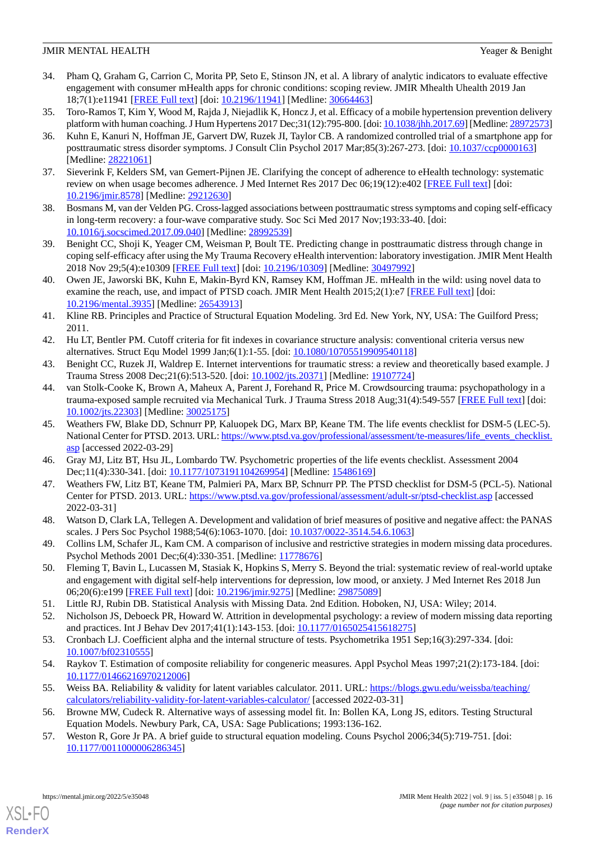- <span id="page-15-0"></span>34. Pham Q, Graham G, Carrion C, Morita PP, Seto E, Stinson JN, et al. A library of analytic indicators to evaluate effective engagement with consumer mHealth apps for chronic conditions: scoping review. JMIR Mhealth Uhealth 2019 Jan 18;7(1):e11941 [\[FREE Full text](https://mhealth.jmir.org/2019/1/e11941/)] [doi: [10.2196/11941\]](http://dx.doi.org/10.2196/11941) [Medline: [30664463\]](http://www.ncbi.nlm.nih.gov/entrez/query.fcgi?cmd=Retrieve&db=PubMed&list_uids=30664463&dopt=Abstract)
- <span id="page-15-2"></span><span id="page-15-1"></span>35. Toro-Ramos T, Kim Y, Wood M, Rajda J, Niejadlik K, Honcz J, et al. Efficacy of a mobile hypertension prevention delivery platform with human coaching. J Hum Hypertens 2017 Dec;31(12):795-800. [doi: [10.1038/jhh.2017.69\]](http://dx.doi.org/10.1038/jhh.2017.69) [Medline: [28972573\]](http://www.ncbi.nlm.nih.gov/entrez/query.fcgi?cmd=Retrieve&db=PubMed&list_uids=28972573&dopt=Abstract)
- 36. Kuhn E, Kanuri N, Hoffman JE, Garvert DW, Ruzek JI, Taylor CB. A randomized controlled trial of a smartphone app for posttraumatic stress disorder symptoms. J Consult Clin Psychol 2017 Mar;85(3):267-273. [doi: [10.1037/ccp0000163\]](http://dx.doi.org/10.1037/ccp0000163) [Medline: [28221061](http://www.ncbi.nlm.nih.gov/entrez/query.fcgi?cmd=Retrieve&db=PubMed&list_uids=28221061&dopt=Abstract)]
- <span id="page-15-4"></span><span id="page-15-3"></span>37. Sieverink F, Kelders SM, van Gemert-Pijnen JE. Clarifying the concept of adherence to eHealth technology: systematic review on when usage becomes adherence. J Med Internet Res 2017 Dec 06;19(12):e402 [[FREE Full text](https://www.jmir.org/2017/12/e402/)] [doi: [10.2196/jmir.8578](http://dx.doi.org/10.2196/jmir.8578)] [Medline: [29212630](http://www.ncbi.nlm.nih.gov/entrez/query.fcgi?cmd=Retrieve&db=PubMed&list_uids=29212630&dopt=Abstract)]
- <span id="page-15-5"></span>38. Bosmans M, van der Velden PG. Cross-lagged associations between posttraumatic stress symptoms and coping self-efficacy in long-term recovery: a four-wave comparative study. Soc Sci Med 2017 Nov;193:33-40. [doi: [10.1016/j.socscimed.2017.09.040](http://dx.doi.org/10.1016/j.socscimed.2017.09.040)] [Medline: [28992539](http://www.ncbi.nlm.nih.gov/entrez/query.fcgi?cmd=Retrieve&db=PubMed&list_uids=28992539&dopt=Abstract)]
- <span id="page-15-6"></span>39. Benight CC, Shoji K, Yeager CM, Weisman P, Boult TE. Predicting change in posttraumatic distress through change in coping self-efficacy after using the My Trauma Recovery eHealth intervention: laboratory investigation. JMIR Ment Health 2018 Nov 29;5(4):e10309 [\[FREE Full text](https://mental.jmir.org/2018/4/e10309/)] [doi: [10.2196/10309](http://dx.doi.org/10.2196/10309)] [Medline: [30497992\]](http://www.ncbi.nlm.nih.gov/entrez/query.fcgi?cmd=Retrieve&db=PubMed&list_uids=30497992&dopt=Abstract)
- <span id="page-15-7"></span>40. Owen JE, Jaworski BK, Kuhn E, Makin-Byrd KN, Ramsey KM, Hoffman JE. mHealth in the wild: using novel data to examine the reach, use, and impact of PTSD coach. JMIR Ment Health 2015;2(1):e7 [[FREE Full text](https://mental.jmir.org/2015/1/e7/)] [doi: [10.2196/mental.3935\]](http://dx.doi.org/10.2196/mental.3935) [Medline: [26543913](http://www.ncbi.nlm.nih.gov/entrez/query.fcgi?cmd=Retrieve&db=PubMed&list_uids=26543913&dopt=Abstract)]
- <span id="page-15-8"></span>41. Kline RB. Principles and Practice of Structural Equation Modeling. 3rd Ed. New York, NY, USA: The Guilford Press; 2011.
- <span id="page-15-10"></span><span id="page-15-9"></span>42. Hu LT, Bentler PM. Cutoff criteria for fit indexes in covariance structure analysis: conventional criteria versus new alternatives. Struct Equ Model 1999 Jan;6(1):1-55. [doi: [10.1080/10705519909540118\]](http://dx.doi.org/10.1080/10705519909540118)
- 43. Benight CC, Ruzek JI, Waldrep E. Internet interventions for traumatic stress: a review and theoretically based example. J Trauma Stress 2008 Dec;21(6):513-520. [doi: [10.1002/jts.20371\]](http://dx.doi.org/10.1002/jts.20371) [Medline: [19107724\]](http://www.ncbi.nlm.nih.gov/entrez/query.fcgi?cmd=Retrieve&db=PubMed&list_uids=19107724&dopt=Abstract)
- <span id="page-15-11"></span>44. van Stolk-Cooke K, Brown A, Maheux A, Parent J, Forehand R, Price M. Crowdsourcing trauma: psychopathology in a trauma-exposed sample recruited via Mechanical Turk. J Trauma Stress 2018 Aug;31(4):549-557 [[FREE Full text](http://europepmc.org/abstract/MED/30025175)] [doi: [10.1002/jts.22303\]](http://dx.doi.org/10.1002/jts.22303) [Medline: [30025175](http://www.ncbi.nlm.nih.gov/entrez/query.fcgi?cmd=Retrieve&db=PubMed&list_uids=30025175&dopt=Abstract)]
- <span id="page-15-13"></span><span id="page-15-12"></span>45. Weathers FW, Blake DD, Schnurr PP, Kaluopek DG, Marx BP, Keane TM. The life events checklist for DSM-5 (LEC-5). National Center for PTSD. 2013. URL: [https://www.ptsd.va.gov/professional/assessment/te-measures/life\\_events\\_checklist.](https://www.ptsd.va.gov/professional/assessment/te-measures/life_events_checklist.asp) [asp](https://www.ptsd.va.gov/professional/assessment/te-measures/life_events_checklist.asp) [accessed 2022-03-29]
- <span id="page-15-14"></span>46. Gray MJ, Litz BT, Hsu JL, Lombardo TW. Psychometric properties of the life events checklist. Assessment 2004 Dec;11(4):330-341. [doi: [10.1177/1073191104269954\]](http://dx.doi.org/10.1177/1073191104269954) [Medline: [15486169\]](http://www.ncbi.nlm.nih.gov/entrez/query.fcgi?cmd=Retrieve&db=PubMed&list_uids=15486169&dopt=Abstract)
- <span id="page-15-15"></span>47. Weathers FW, Litz BT, Keane TM, Palmieri PA, Marx BP, Schnurr PP. The PTSD checklist for DSM-5 (PCL-5). National Center for PTSD. 2013. URL: <https://www.ptsd.va.gov/professional/assessment/adult-sr/ptsd-checklist.asp> [accessed 2022-03-31]
- <span id="page-15-16"></span>48. Watson D, Clark LA, Tellegen A. Development and validation of brief measures of positive and negative affect: the PANAS scales. J Pers Soc Psychol 1988;54(6):1063-1070. [doi: [10.1037/0022-3514.54.6.1063](http://dx.doi.org/10.1037/0022-3514.54.6.1063)]
- <span id="page-15-18"></span><span id="page-15-17"></span>49. Collins LM, Schafer JL, Kam CM. A comparison of inclusive and restrictive strategies in modern missing data procedures. Psychol Methods 2001 Dec; 6(4): 330-351. [Medline: [11778676](http://www.ncbi.nlm.nih.gov/entrez/query.fcgi?cmd=Retrieve&db=PubMed&list_uids=11778676&dopt=Abstract)]
- <span id="page-15-19"></span>50. Fleming T, Bavin L, Lucassen M, Stasiak K, Hopkins S, Merry S. Beyond the trial: systematic review of real-world uptake and engagement with digital self-help interventions for depression, low mood, or anxiety. J Med Internet Res 2018 Jun 06;20(6):e199 [\[FREE Full text](https://www.jmir.org/2018/6/e199/)] [doi: [10.2196/jmir.9275](http://dx.doi.org/10.2196/jmir.9275)] [Medline: [29875089](http://www.ncbi.nlm.nih.gov/entrez/query.fcgi?cmd=Retrieve&db=PubMed&list_uids=29875089&dopt=Abstract)]
- <span id="page-15-20"></span>51. Little RJ, Rubin DB. Statistical Analysis with Missing Data. 2nd Edition. Hoboken, NJ, USA: Wiley; 2014.
- <span id="page-15-21"></span>52. Nicholson JS, Deboeck PR, Howard W. Attrition in developmental psychology: a review of modern missing data reporting and practices. Int J Behav Dev 2017;41(1):143-153. [doi: [10.1177/0165025415618275\]](http://dx.doi.org/10.1177/0165025415618275)
- <span id="page-15-22"></span>53. Cronbach LJ. Coefficient alpha and the internal structure of tests. Psychometrika 1951 Sep;16(3):297-334. [doi: [10.1007/bf02310555](http://dx.doi.org/10.1007/bf02310555)]
- <span id="page-15-23"></span>54. Raykov T. Estimation of composite reliability for congeneric measures. Appl Psychol Meas 1997;21(2):173-184. [doi: [10.1177/01466216970212006\]](http://dx.doi.org/10.1177/01466216970212006)
- 55. Weiss BA. Reliability & validity for latent variables calculator. 2011. URL: [https://blogs.gwu.edu/weissba/teaching/](https://blogs.gwu.edu/weissba/teaching/calculators/reliability-validity-for-latent-variables-calculator/) [calculators/reliability-validity-for-latent-variables-calculator/](https://blogs.gwu.edu/weissba/teaching/calculators/reliability-validity-for-latent-variables-calculator/) [accessed 2022-03-31]
- 56. Browne MW, Cudeck R. Alternative ways of assessing model fit. In: Bollen KA, Long JS, editors. Testing Structural Equation Models. Newbury Park, CA, USA: Sage Publications; 1993:136-162.
- 57. Weston R, Gore Jr PA. A brief guide to structural equation modeling. Couns Psychol 2006;34(5):719-751. [doi: [10.1177/0011000006286345\]](http://dx.doi.org/10.1177/0011000006286345)

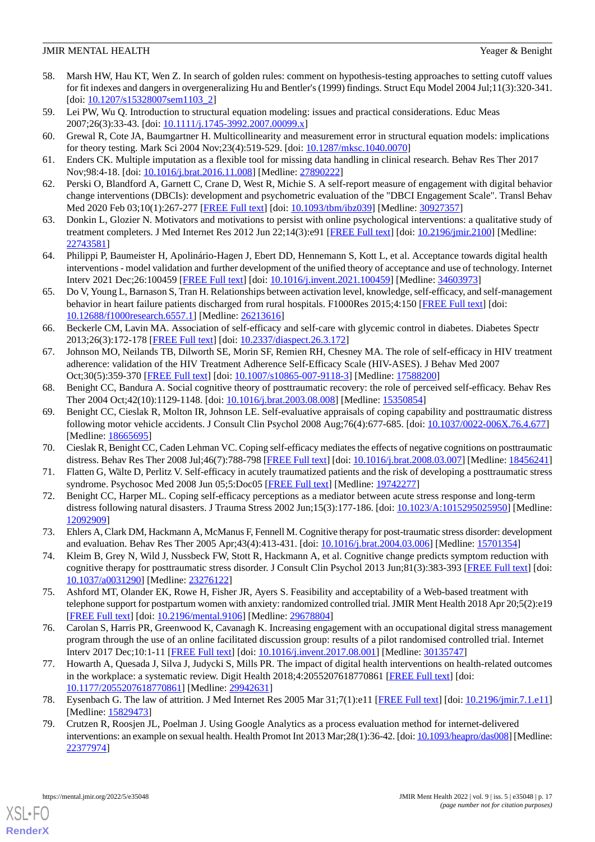- <span id="page-16-0"></span>58. Marsh HW, Hau KT, Wen Z. In search of golden rules: comment on hypothesis-testing approaches to setting cutoff values for fit indexes and dangers in overgeneralizing Hu and Bentler's (1999) findings. Struct Equ Model 2004 Jul;11(3):320-341. [doi: [10.1207/s15328007sem1103\\_2](http://dx.doi.org/10.1207/s15328007sem1103_2)]
- <span id="page-16-2"></span><span id="page-16-1"></span>59. Lei PW, Wu Q. Introduction to structural equation modeling: issues and practical considerations. Educ Meas 2007;26(3):33-43. [doi: [10.1111/j.1745-3992.2007.00099.x\]](http://dx.doi.org/10.1111/j.1745-3992.2007.00099.x)
- <span id="page-16-3"></span>60. Grewal R, Cote JA, Baumgartner H. Multicollinearity and measurement error in structural equation models: implications for theory testing. Mark Sci 2004 Nov;23(4):519-529. [doi: [10.1287/mksc.1040.0070\]](http://dx.doi.org/10.1287/mksc.1040.0070)
- <span id="page-16-4"></span>61. Enders CK. Multiple imputation as a flexible tool for missing data handling in clinical research. Behav Res Ther 2017 Nov;98:4-18. [doi: [10.1016/j.brat.2016.11.008](http://dx.doi.org/10.1016/j.brat.2016.11.008)] [Medline: [27890222](http://www.ncbi.nlm.nih.gov/entrez/query.fcgi?cmd=Retrieve&db=PubMed&list_uids=27890222&dopt=Abstract)]
- <span id="page-16-5"></span>62. Perski O, Blandford A, Garnett C, Crane D, West R, Michie S. A self-report measure of engagement with digital behavior change interventions (DBCIs): development and psychometric evaluation of the "DBCI Engagement Scale". Transl Behav Med 2020 Feb 03;10(1):267-277 [[FREE Full text](http://europepmc.org/abstract/MED/30927357)] [doi: [10.1093/tbm/ibz039](http://dx.doi.org/10.1093/tbm/ibz039)] [Medline: [30927357\]](http://www.ncbi.nlm.nih.gov/entrez/query.fcgi?cmd=Retrieve&db=PubMed&list_uids=30927357&dopt=Abstract)
- <span id="page-16-6"></span>63. Donkin L, Glozier N. Motivators and motivations to persist with online psychological interventions: a qualitative study of treatment completers. J Med Internet Res 2012 Jun 22;14(3):e91 [\[FREE Full text\]](https://www.jmir.org/2012/3/e91/) [doi: [10.2196/jmir.2100\]](http://dx.doi.org/10.2196/jmir.2100) [Medline: [22743581](http://www.ncbi.nlm.nih.gov/entrez/query.fcgi?cmd=Retrieve&db=PubMed&list_uids=22743581&dopt=Abstract)]
- <span id="page-16-7"></span>64. Philippi P, Baumeister H, Apolinário-Hagen J, Ebert DD, Hennemann S, Kott L, et al. Acceptance towards digital health interventions - model validation and further development of the unified theory of acceptance and use of technology. Internet Interv 2021 Dec;26:100459 [[FREE Full text](https://linkinghub.elsevier.com/retrieve/pii/S2214-7829(21)00099-3)] [doi: [10.1016/j.invent.2021.100459](http://dx.doi.org/10.1016/j.invent.2021.100459)] [Medline: [34603973](http://www.ncbi.nlm.nih.gov/entrez/query.fcgi?cmd=Retrieve&db=PubMed&list_uids=34603973&dopt=Abstract)]
- <span id="page-16-8"></span>65. Do V, Young L, Barnason S, Tran H. Relationships between activation level, knowledge, self-efficacy, and self-management behavior in heart failure patients discharged from rural hospitals. F1000Res 2015;4:150 [[FREE Full text](https://f1000research.com/articles/10.12688/f1000research.6557.1/doi)] [doi: [10.12688/f1000research.6557.1](http://dx.doi.org/10.12688/f1000research.6557.1)] [Medline: [26213616](http://www.ncbi.nlm.nih.gov/entrez/query.fcgi?cmd=Retrieve&db=PubMed&list_uids=26213616&dopt=Abstract)]
- <span id="page-16-9"></span>66. Beckerle CM, Lavin MA. Association of self-efficacy and self-care with glycemic control in diabetes. Diabetes Spectr 2013;26(3):172-178 [[FREE Full text](https://doi.org/10.2337/diaspect.26.3.172)] [doi: [10.2337/diaspect.26.3.172](http://dx.doi.org/10.2337/diaspect.26.3.172)]
- <span id="page-16-10"></span>67. Johnson MO, Neilands TB, Dilworth SE, Morin SF, Remien RH, Chesney MA. The role of self-efficacy in HIV treatment adherence: validation of the HIV Treatment Adherence Self-Efficacy Scale (HIV-ASES). J Behav Med 2007 Oct;30(5):359-370 [\[FREE Full text\]](http://europepmc.org/abstract/MED/17588200) [doi: [10.1007/s10865-007-9118-3](http://dx.doi.org/10.1007/s10865-007-9118-3)] [Medline: [17588200\]](http://www.ncbi.nlm.nih.gov/entrez/query.fcgi?cmd=Retrieve&db=PubMed&list_uids=17588200&dopt=Abstract)
- <span id="page-16-11"></span>68. Benight CC, Bandura A. Social cognitive theory of posttraumatic recovery: the role of perceived self-efficacy. Behav Res Ther 2004 Oct;42(10):1129-1148. [doi: [10.1016/j.brat.2003.08.008](http://dx.doi.org/10.1016/j.brat.2003.08.008)] [Medline: [15350854](http://www.ncbi.nlm.nih.gov/entrez/query.fcgi?cmd=Retrieve&db=PubMed&list_uids=15350854&dopt=Abstract)]
- <span id="page-16-13"></span><span id="page-16-12"></span>69. Benight CC, Cieslak R, Molton IR, Johnson LE. Self-evaluative appraisals of coping capability and posttraumatic distress following motor vehicle accidents. J Consult Clin Psychol 2008 Aug;76(4):677-685. [doi: [10.1037/0022-006X.76.4.677](http://dx.doi.org/10.1037/0022-006X.76.4.677)] [Medline: [18665695](http://www.ncbi.nlm.nih.gov/entrez/query.fcgi?cmd=Retrieve&db=PubMed&list_uids=18665695&dopt=Abstract)]
- <span id="page-16-14"></span>70. Cieslak R, Benight CC, Caden Lehman VC. Coping self-efficacy mediates the effects of negative cognitions on posttraumatic distress. Behav Res Ther 2008 Jul;46(7):788-798 [\[FREE Full text\]](http://europepmc.org/abstract/MED/18456241) [doi: [10.1016/j.brat.2008.03.007](http://dx.doi.org/10.1016/j.brat.2008.03.007)] [Medline: [18456241](http://www.ncbi.nlm.nih.gov/entrez/query.fcgi?cmd=Retrieve&db=PubMed&list_uids=18456241&dopt=Abstract)]
- <span id="page-16-15"></span>71. Flatten G, Wälte D, Perlitz V. Self-efficacy in acutely traumatized patients and the risk of developing a posttraumatic stress syndrome. Psychosoc Med 2008 Jun 05;5:Doc05 [\[FREE Full text\]](http://europepmc.org/abstract/MED/19742277) [Medline: [19742277\]](http://www.ncbi.nlm.nih.gov/entrez/query.fcgi?cmd=Retrieve&db=PubMed&list_uids=19742277&dopt=Abstract)
- <span id="page-16-16"></span>72. Benight CC, Harper ML. Coping self-efficacy perceptions as a mediator between acute stress response and long-term distress following natural disasters. J Trauma Stress 2002 Jun;15(3):177-186. [doi: [10.1023/A:1015295025950\]](http://dx.doi.org/10.1023/A:1015295025950) [Medline: [12092909](http://www.ncbi.nlm.nih.gov/entrez/query.fcgi?cmd=Retrieve&db=PubMed&list_uids=12092909&dopt=Abstract)]
- <span id="page-16-17"></span>73. Ehlers A, Clark DM, Hackmann A, McManus F, Fennell M. Cognitive therapy for post-traumatic stress disorder: development and evaluation. Behav Res Ther 2005 Apr;43(4):413-431. [doi: [10.1016/j.brat.2004.03.006\]](http://dx.doi.org/10.1016/j.brat.2004.03.006) [Medline: [15701354\]](http://www.ncbi.nlm.nih.gov/entrez/query.fcgi?cmd=Retrieve&db=PubMed&list_uids=15701354&dopt=Abstract)
- 74. Kleim B, Grey N, Wild J, Nussbeck FW, Stott R, Hackmann A, et al. Cognitive change predicts symptom reduction with cognitive therapy for posttraumatic stress disorder. J Consult Clin Psychol 2013 Jun;81(3):383-393 [[FREE Full text](http://europepmc.org/abstract/MED/23276122)] [doi: [10.1037/a0031290](http://dx.doi.org/10.1037/a0031290)] [Medline: [23276122](http://www.ncbi.nlm.nih.gov/entrez/query.fcgi?cmd=Retrieve&db=PubMed&list_uids=23276122&dopt=Abstract)]
- <span id="page-16-18"></span>75. Ashford MT, Olander EK, Rowe H, Fisher JR, Ayers S. Feasibility and acceptability of a Web-based treatment with telephone support for postpartum women with anxiety: randomized controlled trial. JMIR Ment Health 2018 Apr 20;5(2):e19 [[FREE Full text](https://mental.jmir.org/2018/2/e19/)] [doi: [10.2196/mental.9106](http://dx.doi.org/10.2196/mental.9106)] [Medline: [29678804](http://www.ncbi.nlm.nih.gov/entrez/query.fcgi?cmd=Retrieve&db=PubMed&list_uids=29678804&dopt=Abstract)]
- <span id="page-16-19"></span>76. Carolan S, Harris PR, Greenwood K, Cavanagh K. Increasing engagement with an occupational digital stress management program through the use of an online facilitated discussion group: results of a pilot randomised controlled trial. Internet Interv 2017 Dec;10:1-11 [\[FREE Full text\]](https://linkinghub.elsevier.com/retrieve/pii/S2214-7829(17)30033-7) [doi: [10.1016/j.invent.2017.08.001](http://dx.doi.org/10.1016/j.invent.2017.08.001)] [Medline: [30135747](http://www.ncbi.nlm.nih.gov/entrez/query.fcgi?cmd=Retrieve&db=PubMed&list_uids=30135747&dopt=Abstract)]
- <span id="page-16-20"></span>77. Howarth A, Quesada J, Silva J, Judycki S, Mills PR. The impact of digital health interventions on health-related outcomes in the workplace: a systematic review. Digit Health 2018;4:2055207618770861 [[FREE Full text](https://journals.sagepub.com/doi/10.1177/2055207618770861?url_ver=Z39.88-2003&rfr_id=ori:rid:crossref.org&rfr_dat=cr_pub%3dpubmed)] [doi: [10.1177/2055207618770861\]](http://dx.doi.org/10.1177/2055207618770861) [Medline: [29942631\]](http://www.ncbi.nlm.nih.gov/entrez/query.fcgi?cmd=Retrieve&db=PubMed&list_uids=29942631&dopt=Abstract)
- 78. Eysenbach G. The law of attrition. J Med Internet Res 2005 Mar 31;7(1):e11 [[FREE Full text\]](https://www.jmir.org/2005/1/e11/) [doi: [10.2196/jmir.7.1.e11](http://dx.doi.org/10.2196/jmir.7.1.e11)] [Medline: [15829473](http://www.ncbi.nlm.nih.gov/entrez/query.fcgi?cmd=Retrieve&db=PubMed&list_uids=15829473&dopt=Abstract)]
- 79. Crutzen R, Roosjen JL, Poelman J. Using Google Analytics as a process evaluation method for internet-delivered interventions: an example on sexual health. Health Promot Int 2013 Mar;28(1):36-42. [doi: [10.1093/heapro/das008](http://dx.doi.org/10.1093/heapro/das008)] [Medline: [22377974](http://www.ncbi.nlm.nih.gov/entrez/query.fcgi?cmd=Retrieve&db=PubMed&list_uids=22377974&dopt=Abstract)]